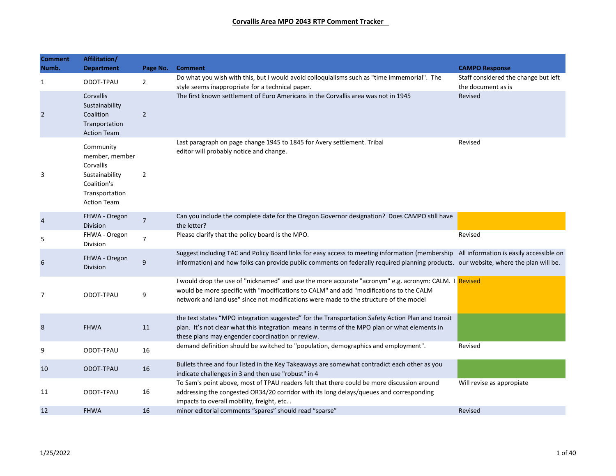| <b>Comment</b> | Affilitation/                                                                                                     |                |                                                                                                                                                                                                                                                                                          |                                                            |
|----------------|-------------------------------------------------------------------------------------------------------------------|----------------|------------------------------------------------------------------------------------------------------------------------------------------------------------------------------------------------------------------------------------------------------------------------------------------|------------------------------------------------------------|
| Numb.          | <b>Department</b>                                                                                                 | Page No.       | <b>Comment</b>                                                                                                                                                                                                                                                                           | <b>CAMPO Response</b>                                      |
| $\mathbf{1}$   | ODOT-TPAU                                                                                                         | $\overline{2}$ | Do what you wish with this, but I would avoid colloquialisms such as "time immemorial". The<br>style seems inappropriate for a technical paper.                                                                                                                                          | Staff considered the change but left<br>the document as is |
| $\overline{2}$ | Corvallis<br>Sustainability<br>Coalition<br>Tranportation<br><b>Action Team</b>                                   | $\overline{2}$ | The first known settlement of Euro Americans in the Corvallis area was not in 1945                                                                                                                                                                                                       | Revised                                                    |
| 3              | Community<br>member, member<br>Corvallis<br>Sustainability<br>Coalition's<br>Transportation<br><b>Action Team</b> | $\overline{2}$ | Last paragraph on page change 1945 to 1845 for Avery settlement. Tribal<br>editor will probably notice and change.                                                                                                                                                                       | Revised                                                    |
| 4              | FHWA - Oregon<br><b>Division</b>                                                                                  | $\overline{7}$ | Can you include the complete date for the Oregon Governor designation? Does CAMPO still have<br>the letter?                                                                                                                                                                              |                                                            |
| 5              | FHWA - Oregon<br>Division                                                                                         | $\overline{7}$ | Please clarify that the policy board is the MPO.                                                                                                                                                                                                                                         | Revised                                                    |
| 6              | FHWA - Oregon<br>Division                                                                                         | 9              | Suggest including TAC and Policy Board links for easy access to meeting information (membership All information is easily accessible on<br>information) and how folks can provide public comments on federally required planning products. our website, where the plan will be.          |                                                            |
| 7              | ODOT-TPAU                                                                                                         | 9              | I would drop the use of "nicknamed" and use the more accurate "acronym" e.g. acronym: CALM. I Revised<br>would be more specific with "modifications to CALM" and add "modifications to the CALM<br>network and land use" since not modifications were made to the structure of the model |                                                            |
| 8              | <b>FHWA</b>                                                                                                       | 11             | the text states "MPO integration suggested" for the Transportation Safety Action Plan and transit<br>plan. It's not clear what this integration means in terms of the MPO plan or what elements in<br>these plans may engender coordination or review.                                   |                                                            |
| 9              | ODOT-TPAU                                                                                                         | 16             | demand definition should be switched to "population, demographics and employment".                                                                                                                                                                                                       | Revised                                                    |
| 10             | ODOT-TPAU                                                                                                         | 16             | Bullets three and four listed in the Key Takeaways are somewhat contradict each other as you<br>indicate challenges in 3 and then use "robust" in 4                                                                                                                                      |                                                            |
| 11             | ODOT-TPAU                                                                                                         | 16             | To Sam's point above, most of TPAU readers felt that there could be more discussion around<br>addressing the congested OR34/20 corridor with its long delays/queues and corresponding<br>impacts to overall mobility, freight, etc                                                       | Will revise as appropiate                                  |
| 12             | <b>FHWA</b>                                                                                                       | 16             | minor editorial comments "spares" should read "sparse"                                                                                                                                                                                                                                   | Revised                                                    |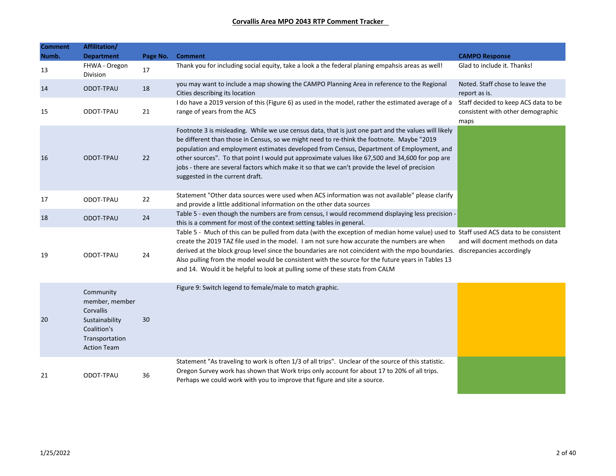| <b>Comment</b><br>Numb. | Affilitation/<br><b>Department</b>                                                                                | Page No. | <b>Comment</b>                                                                                                                                                                                                                                                                                                                                                                                                                                                                                                                                           | <b>CAMPO Response</b>                                                             |
|-------------------------|-------------------------------------------------------------------------------------------------------------------|----------|----------------------------------------------------------------------------------------------------------------------------------------------------------------------------------------------------------------------------------------------------------------------------------------------------------------------------------------------------------------------------------------------------------------------------------------------------------------------------------------------------------------------------------------------------------|-----------------------------------------------------------------------------------|
| 13                      | FHWA - Oregon<br>Division                                                                                         | 17       | Thank you for including social equity, take a look a the federal planing empahsis areas as well!                                                                                                                                                                                                                                                                                                                                                                                                                                                         | Glad to include it. Thanks!                                                       |
| 14                      | ODOT-TPAU                                                                                                         | 18       | you may want to include a map showing the CAMPO Planning Area in reference to the Regional<br>Cities describing its location                                                                                                                                                                                                                                                                                                                                                                                                                             | Noted. Staff chose to leave the<br>report as is.                                  |
| 15                      | ODOT-TPAU                                                                                                         | 21       | I do have a 2019 version of this (Figure 6) as used in the model, rather the estimated average of a<br>range of years from the ACS                                                                                                                                                                                                                                                                                                                                                                                                                       | Staff decided to keep ACS data to be<br>consistent with other demographic<br>maps |
| 16                      | ODOT-TPAU                                                                                                         | 22       | Footnote 3 is misleading. While we use census data, that is just one part and the values will likely<br>be different than those in Census, so we might need to re-think the footnote. Maybe "2019<br>population and employment estimates developed from Census, Department of Employment, and<br>other sources". To that point I would put approximate values like 67,500 and 34,600 for pop are<br>jobs - there are several factors which make it so that we can't provide the level of precision<br>suggested in the current draft.                    |                                                                                   |
| 17                      | ODOT-TPAU                                                                                                         | 22       | Statement "Other data sources were used when ACS information was not available" please clarify<br>and provide a little additional information on the other data sources                                                                                                                                                                                                                                                                                                                                                                                  |                                                                                   |
| 18                      | ODOT-TPAU                                                                                                         | 24       | Table 5 - even though the numbers are from census, I would recommend displaying less precision -<br>this is a comment for most of the context setting tables in general.                                                                                                                                                                                                                                                                                                                                                                                 |                                                                                   |
| 19                      | ODOT-TPAU                                                                                                         | 24       | Table 5 - Much of this can be pulled from data (with the exception of median home value) used to Staff used ACS data to be consistent<br>create the 2019 TAZ file used in the model. I am not sure how accurate the numbers are when<br>derived at the block group level since the boundaries are not coincident with the mpo boundaries. discrepancies accordingly<br>Also pulling from the model would be consistent with the source for the future years in Tables 13<br>and 14. Would it be helpful to look at pulling some of these stats from CALM | and will docment methods on data                                                  |
| 20                      | Community<br>member, member<br>Corvallis<br>Sustainability<br>Coalition's<br>Transportation<br><b>Action Team</b> | 30       | Figure 9: Switch legend to female/male to match graphic.                                                                                                                                                                                                                                                                                                                                                                                                                                                                                                 |                                                                                   |
| 21                      | ODOT-TPAU                                                                                                         | 36       | Statement "As traveling to work is often 1/3 of all trips". Unclear of the source of this statistic.<br>Oregon Survey work has shown that Work trips only account for about 17 to 20% of all trips.<br>Perhaps we could work with you to improve that figure and site a source.                                                                                                                                                                                                                                                                          |                                                                                   |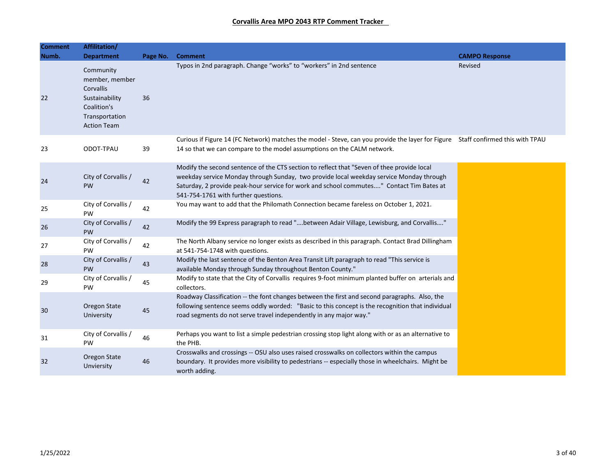| <b>Comment</b> | Affilitation/                                                                                                     |          |                                                                                                                                                                                                                                                                                                                           |                       |
|----------------|-------------------------------------------------------------------------------------------------------------------|----------|---------------------------------------------------------------------------------------------------------------------------------------------------------------------------------------------------------------------------------------------------------------------------------------------------------------------------|-----------------------|
| Numb.          | <b>Department</b>                                                                                                 | Page No. | <b>Comment</b>                                                                                                                                                                                                                                                                                                            | <b>CAMPO Response</b> |
| 22             | Community<br>member, member<br>Corvallis<br>Sustainability<br>Coalition's<br>Transportation<br><b>Action Team</b> | 36       | Typos in 2nd paragraph. Change "works" to "workers" in 2nd sentence                                                                                                                                                                                                                                                       | Revised               |
| 23             | ODOT-TPAU                                                                                                         | 39       | Curious if Figure 14 (FC Network) matches the model - Steve, can you provide the layer for Figure Staff confirmed this with TPAU<br>14 so that we can compare to the model assumptions on the CALM network.                                                                                                               |                       |
| 24             | City of Corvallis /<br>PW                                                                                         | 42       | Modify the second sentence of the CTS section to reflect that "Seven of thee provide local<br>weekday service Monday through Sunday, two provide local weekday service Monday through<br>Saturday, 2 provide peak-hour service for work and school commutes" Contact Tim Bates at<br>541-754-1761 with further questions. |                       |
| 25             | City of Corvallis /<br>PW                                                                                         | 42       | You may want to add that the Philomath Connection became fareless on October 1, 2021.                                                                                                                                                                                                                                     |                       |
| 26             | City of Corvallis /<br>PW                                                                                         | 42       | Modify the 99 Express paragraph to read "between Adair Village, Lewisburg, and Corvallis"                                                                                                                                                                                                                                 |                       |
| 27             | City of Corvallis /<br>PW                                                                                         | 42       | The North Albany service no longer exists as described in this paragraph. Contact Brad Dillingham<br>at 541-754-1748 with questions.                                                                                                                                                                                      |                       |
| 28             | City of Corvallis /<br>PW                                                                                         | 43       | Modify the last sentence of the Benton Area Transit Lift paragraph to read "This service is<br>available Monday through Sunday throughout Benton County."                                                                                                                                                                 |                       |
| 29             | City of Corvallis /<br>PW.                                                                                        | 45       | Modify to state that the City of Corvallis requires 9-foot minimum planted buffer on arterials and<br>collectors.                                                                                                                                                                                                         |                       |
| 30             | Oregon State<br>University                                                                                        | 45       | Roadway Classification -- the font changes between the first and second paragraphs. Also, the<br>following sentence seems oddly worded: "Basic to this concept is the recognition that individual<br>road segments do not serve travel independently in any major way."                                                   |                       |
| 31             | City of Corvallis /<br>PW                                                                                         | 46       | Perhaps you want to list a simple pedestrian crossing stop light along with or as an alternative to<br>the PHB.                                                                                                                                                                                                           |                       |
| 32             | Oregon State<br>Unviersity                                                                                        | 46       | Crosswalks and crossings -- OSU also uses raised crosswalks on collectors within the campus<br>boundary. It provides more visibility to pedestrians -- especially those in wheelchairs. Might be<br>worth adding.                                                                                                         |                       |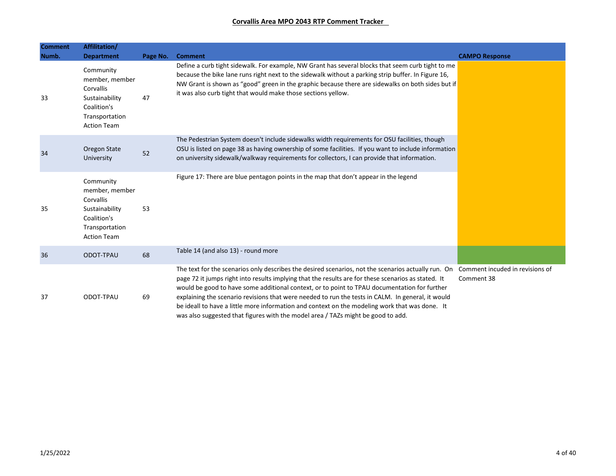| <b>Comment</b> | Affilitation/                                                                                                     |          |                                                                                                                                                                                                                                                                                                                                                                                                                                                                                                                                                                                                                                       |                       |
|----------------|-------------------------------------------------------------------------------------------------------------------|----------|---------------------------------------------------------------------------------------------------------------------------------------------------------------------------------------------------------------------------------------------------------------------------------------------------------------------------------------------------------------------------------------------------------------------------------------------------------------------------------------------------------------------------------------------------------------------------------------------------------------------------------------|-----------------------|
| Numb.          | <b>Department</b>                                                                                                 | Page No. | <b>Comment</b>                                                                                                                                                                                                                                                                                                                                                                                                                                                                                                                                                                                                                        | <b>CAMPO Response</b> |
| 33             | Community<br>member, member<br>Corvallis<br>Sustainability<br>Coalition's<br>Transportation<br><b>Action Team</b> | 47       | Define a curb tight sidewalk. For example, NW Grant has several blocks that seem curb tight to me<br>because the bike lane runs right next to the sidewalk without a parking strip buffer. In Figure 16,<br>NW Grant is shown as "good" green in the graphic because there are sidewalks on both sides but if<br>it was also curb tight that would make those sections yellow.                                                                                                                                                                                                                                                        |                       |
| 34             | Oregon State<br>University                                                                                        | 52       | The Pedestrian System doesn't include sidewalks width requirements for OSU facilities, though<br>OSU is listed on page 38 as having ownership of some facilities. If you want to include information<br>on university sidewalk/walkway requirements for collectors, I can provide that information.                                                                                                                                                                                                                                                                                                                                   |                       |
| 35             | Community<br>member, member<br>Corvallis<br>Sustainability<br>Coalition's<br>Transportation<br><b>Action Team</b> | 53       | Figure 17: There are blue pentagon points in the map that don't appear in the legend                                                                                                                                                                                                                                                                                                                                                                                                                                                                                                                                                  |                       |
| 36             | ODOT-TPAU                                                                                                         | 68       | Table 14 (and also 13) - round more                                                                                                                                                                                                                                                                                                                                                                                                                                                                                                                                                                                                   |                       |
| 37             | ODOT-TPAU                                                                                                         | 69       | The text for the scenarios only describes the desired scenarios, not the scenarios actually run. On Comment incuded in revisions of<br>page 72 it jumps right into results implying that the results are for these scenarios as stated. It<br>would be good to have some additional context, or to point to TPAU documentation for further<br>explaining the scenario revisions that were needed to run the tests in CALM. In general, it would<br>be ideall to have a little more information and context on the modeling work that was done. It<br>was also suggested that figures with the model area / TAZs might be good to add. | Comment 38            |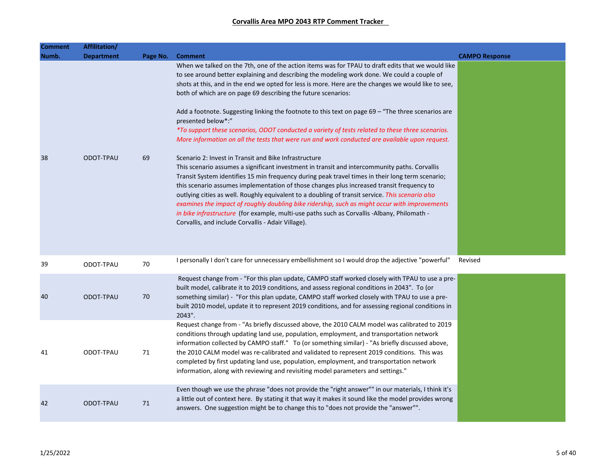| <b>Comment</b> | Affilitation/     |          |                                                                                                                                                                                                                                                                                                                                                                                                                                                                                                                                                                                                                                                                                                                   |                       |
|----------------|-------------------|----------|-------------------------------------------------------------------------------------------------------------------------------------------------------------------------------------------------------------------------------------------------------------------------------------------------------------------------------------------------------------------------------------------------------------------------------------------------------------------------------------------------------------------------------------------------------------------------------------------------------------------------------------------------------------------------------------------------------------------|-----------------------|
| Numb.          | <b>Department</b> | Page No. | <b>Comment</b>                                                                                                                                                                                                                                                                                                                                                                                                                                                                                                                                                                                                                                                                                                    | <b>CAMPO Response</b> |
|                |                   |          | When we talked on the 7th, one of the action items was for TPAU to draft edits that we would like<br>to see around better explaining and describing the modeling work done. We could a couple of<br>shots at this, and in the end we opted for less is more. Here are the changes we would like to see,<br>both of which are on page 69 describing the future scenarios:<br>Add a footnote. Suggesting linking the footnote to this text on page $69 -$ "The three scenarios are<br>presented below*:"<br>*To support these scenarios, ODOT conducted a variety of tests related to these three scenarios.<br>More information on all the tests that were run and work conducted are available upon request.      |                       |
| 38             | ODOT-TPAU         | 69       | Scenario 2: Invest in Transit and Bike Infrastructure<br>This scenario assumes a significant investment in transit and intercommunity paths. Corvallis<br>Transit System identifies 15 min frequency during peak travel times in their long term scenario;<br>this scenario assumes implementation of those changes plus increased transit frequency to<br>outlying cities as well. Roughly equivalent to a doubling of transit service. This scenario also<br>examines the impact of roughly doubling bike ridership, such as might occur with improvements<br>in bike infrastructure (for example, multi-use paths such as Corvallis -Albany, Philomath -<br>Corvallis, and include Corvallis - Adair Village). |                       |
| 39             | ODOT-TPAU         | 70       | I personally I don't care for unnecessary embellishment so I would drop the adjective "powerful"                                                                                                                                                                                                                                                                                                                                                                                                                                                                                                                                                                                                                  | Revised               |
| 40             | ODOT-TPAU         | 70       | Request change from - "For this plan update, CAMPO staff worked closely with TPAU to use a pre-<br>built model, calibrate it to 2019 conditions, and assess regional conditions in 2043". To (or<br>something similar) - "For this plan update, CAMPO staff worked closely with TPAU to use a pre-<br>built 2010 model, update it to represent 2019 conditions, and for assessing regional conditions in<br>2043".                                                                                                                                                                                                                                                                                                |                       |
| 41             | ODOT-TPAU         | 71       | Request change from - "As briefly discussed above, the 2010 CALM model was calibrated to 2019<br>conditions through updating land use, population, employment, and transportation network<br>information collected by CAMPO staff." To (or something similar) - "As briefly discussed above,<br>the 2010 CALM model was re-calibrated and validated to represent 2019 conditions. This was<br>completed by first updating land use, population, employment, and transportation network<br>information, along with reviewing and revisiting model parameters and settings."                                                                                                                                        |                       |
| 42             | ODOT-TPAU         | 71       | Even though we use the phrase "does not provide the "right answer"" in our materials, I think it's<br>a little out of context here. By stating it that way it makes it sound like the model provides wrong<br>answers. One suggestion might be to change this to "does not provide the "answer"".                                                                                                                                                                                                                                                                                                                                                                                                                 |                       |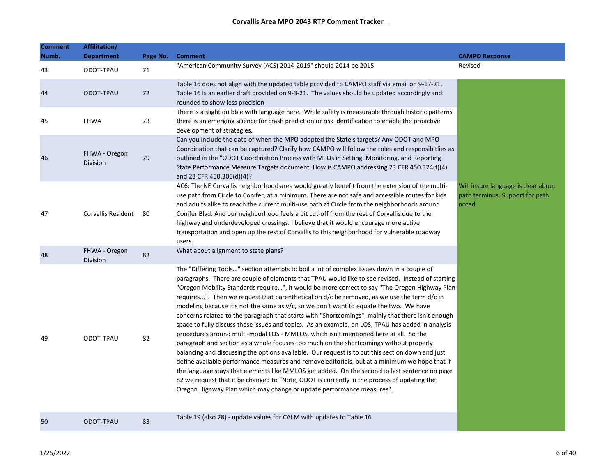| <b>Comment</b><br>Numb. | Affilitation/<br><b>Department</b> | Page No. | <b>Comment</b>                                                                                                                                                                                                                                                                                                                                                                                                                                                                                                                                                                                                                                                                                                                                                                                                                                                                                                                                                                                                                                                                                                                                                                                                                                                                                                                                                         | <b>CAMPO Response</b>                                                           |
|-------------------------|------------------------------------|----------|------------------------------------------------------------------------------------------------------------------------------------------------------------------------------------------------------------------------------------------------------------------------------------------------------------------------------------------------------------------------------------------------------------------------------------------------------------------------------------------------------------------------------------------------------------------------------------------------------------------------------------------------------------------------------------------------------------------------------------------------------------------------------------------------------------------------------------------------------------------------------------------------------------------------------------------------------------------------------------------------------------------------------------------------------------------------------------------------------------------------------------------------------------------------------------------------------------------------------------------------------------------------------------------------------------------------------------------------------------------------|---------------------------------------------------------------------------------|
| 43                      | ODOT-TPAU                          | 71       | "American Community Survey (ACS) 2014-2019" should 2014 be 2015                                                                                                                                                                                                                                                                                                                                                                                                                                                                                                                                                                                                                                                                                                                                                                                                                                                                                                                                                                                                                                                                                                                                                                                                                                                                                                        | Revised                                                                         |
| 44                      | ODOT-TPAU                          | 72       | Table 16 does not align with the updated table provided to CAMPO staff via email on 9-17-21.<br>Table 16 is an earlier draft provided on 9-3-21. The values should be updated accordingly and<br>rounded to show less precision                                                                                                                                                                                                                                                                                                                                                                                                                                                                                                                                                                                                                                                                                                                                                                                                                                                                                                                                                                                                                                                                                                                                        |                                                                                 |
| 45                      | <b>FHWA</b>                        | 73       | There is a slight quibble with language here. While safety is measurable through historic patterns<br>there is an emerging science for crash prediction or risk identification to enable the proactive<br>development of strategies.                                                                                                                                                                                                                                                                                                                                                                                                                                                                                                                                                                                                                                                                                                                                                                                                                                                                                                                                                                                                                                                                                                                                   |                                                                                 |
| 46                      | FHWA - Oregon<br>Division          | 79       | Can you include the date of when the MPO adopted the State's targets? Any ODOT and MPO<br>Coordination that can be captured? Clarify how CAMPO will follow the roles and responsibitlies as<br>outlined in the "ODOT Coordination Process with MPOs in Setting, Monitoring, and Reporting<br>State Performance Measure Targets document. How is CAMPO addressing 23 CFR 450.324(f)(4)<br>and 23 CFR 450.306(d)(4)?                                                                                                                                                                                                                                                                                                                                                                                                                                                                                                                                                                                                                                                                                                                                                                                                                                                                                                                                                     |                                                                                 |
| 47                      | Corvallis Resident                 | -80      | AC6: The NE Corvallis neighborhood area would greatly benefit from the extension of the multi-<br>use path from Circle to Conifer, at a minimum. There are not safe and accessible routes for kids<br>and adults alike to reach the current multi-use path at Circle from the neighborhoods around<br>Conifer Blvd. And our neighborhood feels a bit cut-off from the rest of Corvallis due to the<br>highway and underdeveloped crossings. I believe that it would encourage more active<br>transportation and open up the rest of Corvallis to this neighborhood for vulnerable roadway<br>users.                                                                                                                                                                                                                                                                                                                                                                                                                                                                                                                                                                                                                                                                                                                                                                    | Will insure language is clear about<br>path terminus. Support for path<br>noted |
| 48                      | FHWA - Oregon<br>Division          | 82       | What about alignment to state plans?                                                                                                                                                                                                                                                                                                                                                                                                                                                                                                                                                                                                                                                                                                                                                                                                                                                                                                                                                                                                                                                                                                                                                                                                                                                                                                                                   |                                                                                 |
| 49                      | ODOT-TPAU                          | 82       | The "Differing Tools" section attempts to boil a lot of complex issues down in a couple of<br>paragraphs. There are couple of elements that TPAU would like to see revised. Instead of starting<br>"Oregon Mobility Standards require", it would be more correct to say "The Oregon Highway Plan<br>requires". Then we request that parenthetical on $d/c$ be removed, as we use the term $d/c$ in<br>modeling because it's not the same as v/c, so we don't want to equate the two. We have<br>concerns related to the paragraph that starts with "Shortcomings", mainly that there isn't enough<br>space to fully discuss these issues and topics. As an example, on LOS, TPAU has added in analysis<br>procedures around multi-modal LOS - MMLOS, which isn't mentioned here at all. So the<br>paragraph and section as a whole focuses too much on the shortcomings without properly<br>balancing and discussing the options available. Our request is to cut this section down and just<br>define available performance measures and remove editorials, but at a minimum we hope that if<br>the language stays that elements like MMLOS get added. On the second to last sentence on page<br>82 we request that it be changed to "Note, ODOT is currently in the process of updating the<br>Oregon Highway Plan which may change or update performance measures". |                                                                                 |
| 50                      | ODOT-TPAU                          | 83       | Table 19 (also 28) - update values for CALM with updates to Table 16                                                                                                                                                                                                                                                                                                                                                                                                                                                                                                                                                                                                                                                                                                                                                                                                                                                                                                                                                                                                                                                                                                                                                                                                                                                                                                   |                                                                                 |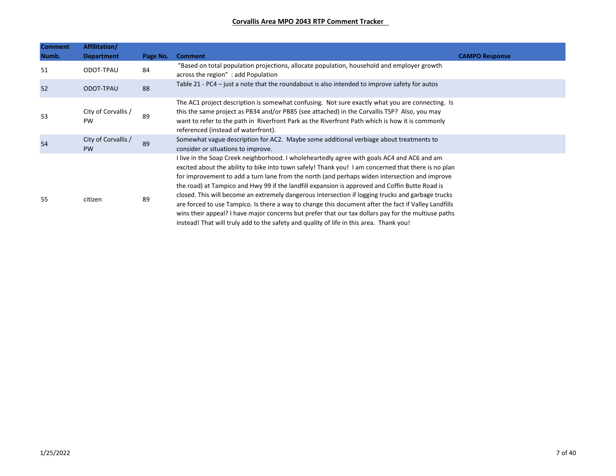| <b>Comment</b> | Affilitation/                    |          |                                                                                                                                                                                                                                                                                                                                                                                                                                                                                                                                                                                                                                                                                                                                                                                                                      |                       |
|----------------|----------------------------------|----------|----------------------------------------------------------------------------------------------------------------------------------------------------------------------------------------------------------------------------------------------------------------------------------------------------------------------------------------------------------------------------------------------------------------------------------------------------------------------------------------------------------------------------------------------------------------------------------------------------------------------------------------------------------------------------------------------------------------------------------------------------------------------------------------------------------------------|-----------------------|
| Numb.          | <b>Department</b>                | Page No. | <b>Comment</b>                                                                                                                                                                                                                                                                                                                                                                                                                                                                                                                                                                                                                                                                                                                                                                                                       | <b>CAMPO Response</b> |
| 51             | ODOT-TPAU                        | 84       | "Based on total population projections, allocate population, household and employer growth<br>across the region": add Population                                                                                                                                                                                                                                                                                                                                                                                                                                                                                                                                                                                                                                                                                     |                       |
| 52             | ODOT-TPAU                        | 88       | Table 21 - PC4 – just a note that the roundabout is also intended to improve safety for autos                                                                                                                                                                                                                                                                                                                                                                                                                                                                                                                                                                                                                                                                                                                        |                       |
| 53             | City of Corvallis /<br><b>PW</b> | 89       | The AC1 project description is somewhat confusing. Not sure exactly what you are connecting. Is<br>this the same project as PB34 and/or PB85 (see attached) in the Corvallis TSP? Also, you may<br>want to refer to the path in Riverfront Park as the Riverfront Path which is how it is commonly<br>referenced (instead of waterfront).                                                                                                                                                                                                                                                                                                                                                                                                                                                                            |                       |
| 54             | City of Corvallis /<br><b>PW</b> | 89       | Somewhat vague description for AC2. Maybe some additional verbiage about treatments to<br>consider or situations to improve.                                                                                                                                                                                                                                                                                                                                                                                                                                                                                                                                                                                                                                                                                         |                       |
| 55             | citizen                          | 89       | I live in the Soap Creek neighborhood. I wholeheartedly agree with goals AC4 and AC6 and am<br>excited about the ability to bike into town safely! Thank you! I am concerned that there is no plan<br>for improvement to add a turn lane from the north (and perhaps widen intersection and improve<br>the road) at Tampico and Hwy 99 if the landfill expansion is approved and Coffin Butte Road is<br>closed. This will become an extremely dangerous intersection if logging trucks and garbage trucks<br>are forced to use Tampico. Is there a way to change this document after the fact if Valley Landfills<br>wins their appeal? I have major concerns but prefer that our tax dollars pay for the multiuse paths<br>instead! That will truly add to the safety and quality of life in this area. Thank you! |                       |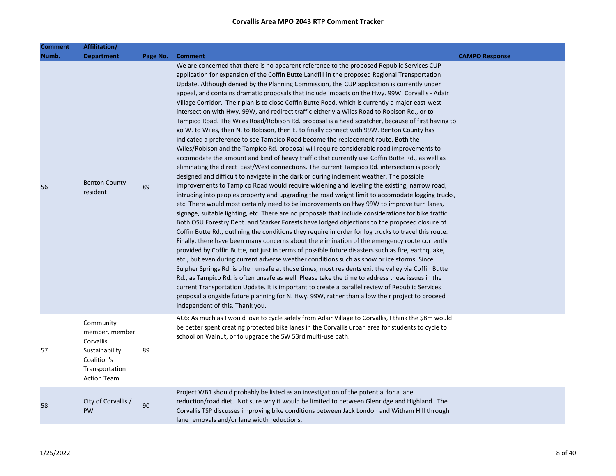| Comment | Affilitation/                                                                                                     |          |                                                                                                                                                                                                                                                                                                                                                                                                                                                                                                                                                                                                                                                                                                                                                                                                                                                                                                                                                                                                                                                                                                                                                                                                                                                                                                                                                                                                                                                                                                                                                                                                                                                                                                                                                                                                                                                                                                                                                                                                                                                                                                                                                                                                                                                                                                                                                                                                                                                                                                                                                                                                                                                                    |                       |
|---------|-------------------------------------------------------------------------------------------------------------------|----------|--------------------------------------------------------------------------------------------------------------------------------------------------------------------------------------------------------------------------------------------------------------------------------------------------------------------------------------------------------------------------------------------------------------------------------------------------------------------------------------------------------------------------------------------------------------------------------------------------------------------------------------------------------------------------------------------------------------------------------------------------------------------------------------------------------------------------------------------------------------------------------------------------------------------------------------------------------------------------------------------------------------------------------------------------------------------------------------------------------------------------------------------------------------------------------------------------------------------------------------------------------------------------------------------------------------------------------------------------------------------------------------------------------------------------------------------------------------------------------------------------------------------------------------------------------------------------------------------------------------------------------------------------------------------------------------------------------------------------------------------------------------------------------------------------------------------------------------------------------------------------------------------------------------------------------------------------------------------------------------------------------------------------------------------------------------------------------------------------------------------------------------------------------------------------------------------------------------------------------------------------------------------------------------------------------------------------------------------------------------------------------------------------------------------------------------------------------------------------------------------------------------------------------------------------------------------------------------------------------------------------------------------------------------------|-----------------------|
| Numb.   | <b>Department</b>                                                                                                 | Page No. | <b>Comment</b>                                                                                                                                                                                                                                                                                                                                                                                                                                                                                                                                                                                                                                                                                                                                                                                                                                                                                                                                                                                                                                                                                                                                                                                                                                                                                                                                                                                                                                                                                                                                                                                                                                                                                                                                                                                                                                                                                                                                                                                                                                                                                                                                                                                                                                                                                                                                                                                                                                                                                                                                                                                                                                                     | <b>CAMPO Response</b> |
| 56      | <b>Benton County</b><br>resident                                                                                  | 89       | We are concerned that there is no apparent reference to the proposed Republic Services CUP<br>application for expansion of the Coffin Butte Landfill in the proposed Regional Transportation<br>Update. Although denied by the Planning Commission, this CUP application is currently under<br>appeal, and contains dramatic proposals that include impacts on the Hwy. 99W. Corvallis - Adair<br>Village Corridor. Their plan is to close Coffin Butte Road, which is currently a major east-west<br>intersection with Hwy. 99W, and redirect traffic either via Wiles Road to Robison Rd., or to<br>Tampico Road. The Wiles Road/Robison Rd. proposal is a head scratcher, because of first having to<br>go W. to Wiles, then N. to Robison, then E. to finally connect with 99W. Benton County has<br>indicated a preference to see Tampico Road become the replacement route. Both the<br>Wiles/Robison and the Tampico Rd. proposal will require considerable road improvements to<br>accomodate the amount and kind of heavy traffic that currently use Coffin Butte Rd., as well as<br>eliminating the direct East/West connections. The current Tampico Rd. intersection is poorly<br>designed and difficult to navigate in the dark or during inclement weather. The possible<br>improvements to Tampico Road would require widening and leveling the existing, narrow road,<br>intruding into peoples property and upgrading the road weight limit to accomodate logging trucks,<br>etc. There would most certainly need to be improvements on Hwy 99W to improve turn lanes,<br>signage, suitable lighting, etc. There are no proposals that include considerations for bike traffic.<br>Both OSU Forestry Dept. and Starker Forests have lodged objections to the proposed closure of<br>Coffin Butte Rd., outlining the conditions they require in order for log trucks to travel this route.<br>Finally, there have been many concerns about the elimination of the emergency route currently<br>provided by Coffin Butte, not just in terms of possible future disasters such as fire, earthquake,<br>etc., but even during current adverse weather conditions such as snow or ice storms. Since<br>Sulpher Springs Rd. is often unsafe at those times, most residents exit the valley via Coffin Butte<br>Rd., as Tampico Rd. is often unsafe as well. Please take the time to address these issues in the<br>current Transportation Update. It is important to create a parallel review of Republic Services<br>proposal alongside future planning for N. Hwy. 99W, rather than allow their project to proceed<br>independent of this. Thank you. |                       |
| 57      | Community<br>member, member<br>Corvallis<br>Sustainability<br>Coalition's<br>Transportation<br><b>Action Team</b> | 89       | AC6: As much as I would love to cycle safely from Adair Village to Corvallis, I think the \$8m would<br>be better spent creating protected bike lanes in the Corvallis urban area for students to cycle to<br>school on Walnut, or to upgrade the SW 53rd multi-use path.                                                                                                                                                                                                                                                                                                                                                                                                                                                                                                                                                                                                                                                                                                                                                                                                                                                                                                                                                                                                                                                                                                                                                                                                                                                                                                                                                                                                                                                                                                                                                                                                                                                                                                                                                                                                                                                                                                                                                                                                                                                                                                                                                                                                                                                                                                                                                                                          |                       |
| 58      | City of Corvallis /<br>PW                                                                                         | 90       | Project WB1 should probably be listed as an investigation of the potential for a lane<br>reduction/road diet. Not sure why it would be limited to between Glenridge and Highland. The<br>Corvallis TSP discusses improving bike conditions between Jack London and Witham Hill through<br>lane removals and/or lane width reductions.                                                                                                                                                                                                                                                                                                                                                                                                                                                                                                                                                                                                                                                                                                                                                                                                                                                                                                                                                                                                                                                                                                                                                                                                                                                                                                                                                                                                                                                                                                                                                                                                                                                                                                                                                                                                                                                                                                                                                                                                                                                                                                                                                                                                                                                                                                                              |                       |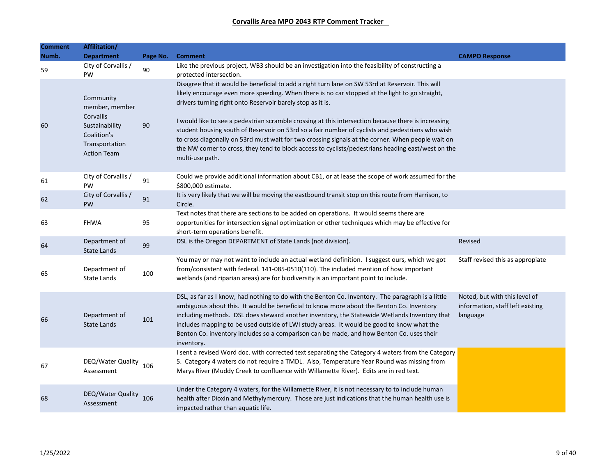| <b>Comment</b><br>Numb. | Affilitation/<br><b>Department</b>                                                                                | Page No. | <b>Comment</b>                                                                                                                                                                                                                                                                                                                                                                                                                                                                                                                                                                                                                                                                                            | <b>CAMPO Response</b>                                                         |
|-------------------------|-------------------------------------------------------------------------------------------------------------------|----------|-----------------------------------------------------------------------------------------------------------------------------------------------------------------------------------------------------------------------------------------------------------------------------------------------------------------------------------------------------------------------------------------------------------------------------------------------------------------------------------------------------------------------------------------------------------------------------------------------------------------------------------------------------------------------------------------------------------|-------------------------------------------------------------------------------|
| 59                      | City of Corvallis /<br>PW                                                                                         | 90       | Like the previous project, WB3 should be an investigation into the feasibility of constructing a<br>protected intersection.                                                                                                                                                                                                                                                                                                                                                                                                                                                                                                                                                                               |                                                                               |
| 60                      | Community<br>member, member<br>Corvallis<br>Sustainability<br>Coalition's<br>Transportation<br><b>Action Team</b> | 90       | Disagree that it would be beneficial to add a right turn lane on SW 53rd at Reservoir. This will<br>likely encourage even more speeding. When there is no car stopped at the light to go straight,<br>drivers turning right onto Reservoir barely stop as it is.<br>I would like to see a pedestrian scramble crossing at this intersection because there is increasing<br>student housing south of Reservoir on 53rd so a fair number of cyclists and pedestrians who wish<br>to cross diagonally on 53rd must wait for two crossing signals at the corner. When people wait on<br>the NW corner to cross, they tend to block access to cyclists/pedestrians heading east/west on the<br>multi-use path. |                                                                               |
| 61                      | City of Corvallis /<br><b>PW</b>                                                                                  | 91       | Could we provide additional information about CB1, or at lease the scope of work assumed for the<br>\$800,000 estimate.                                                                                                                                                                                                                                                                                                                                                                                                                                                                                                                                                                                   |                                                                               |
| 62                      | City of Corvallis /<br>PW                                                                                         | 91       | It is very likely that we will be moving the eastbound transit stop on this route from Harrison, to<br>Circle.                                                                                                                                                                                                                                                                                                                                                                                                                                                                                                                                                                                            |                                                                               |
| 63                      | <b>FHWA</b>                                                                                                       | 95       | Text notes that there are sections to be added on operations. It would seems there are<br>opportunities for intersection signal optimization or other techniques which may be effective for<br>short-term operations benefit.                                                                                                                                                                                                                                                                                                                                                                                                                                                                             |                                                                               |
| 64                      | Department of<br><b>State Lands</b>                                                                               | 99       | DSL is the Oregon DEPARTMENT of State Lands (not division).                                                                                                                                                                                                                                                                                                                                                                                                                                                                                                                                                                                                                                               | Revised                                                                       |
| 65                      | Department of<br><b>State Lands</b>                                                                               | 100      | You may or may not want to include an actual wetland definition. I suggest ours, which we got<br>from/consistent with federal. 141-085-0510(110). The included mention of how important<br>wetlands (and riparian areas) are for biodiversity is an important point to include.                                                                                                                                                                                                                                                                                                                                                                                                                           | Staff revised this as appropiate                                              |
| 66                      | Department of<br><b>State Lands</b>                                                                               | 101      | DSL, as far as I know, had nothing to do with the Benton Co. Inventory. The paragraph is a little<br>ambiguous about this. It would be beneficial to know more about the Benton Co. Inventory<br>including methods. DSL does steward another inventory, the Statewide Wetlands Inventory that<br>includes mapping to be used outside of LWI study areas. It would be good to know what the<br>Benton Co. inventory includes so a comparison can be made, and how Benton Co. uses their<br>inventory.                                                                                                                                                                                                      | Noted, but with this level of<br>information, staff left existing<br>language |
| 67                      | DEQ/Water Quality<br>Assessment                                                                                   | 106      | I sent a revised Word doc. with corrected text separating the Category 4 waters from the Category<br>5. Category 4 waters do not require a TMDL. Also, Temperature Year Round was missing from<br>Marys River (Muddy Creek to confluence with Willamette River). Edits are in red text.                                                                                                                                                                                                                                                                                                                                                                                                                   |                                                                               |
| 68                      | DEQ/Water Quality<br>Assessment                                                                                   | 106      | Under the Category 4 waters, for the Willamette River, it is not necessary to to include human<br>health after Dioxin and Methylymercury. Those are just indications that the human health use is<br>impacted rather than aquatic life.                                                                                                                                                                                                                                                                                                                                                                                                                                                                   |                                                                               |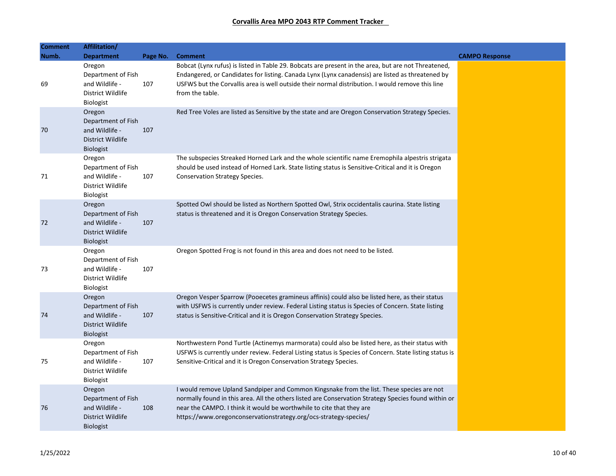| <b>Comment</b><br>Numb. | Affilitation/<br><b>Department</b>                                                      | Page No. | <b>Comment</b>                                                                                                                                                                                                                                                                                                                                | <b>CAMPO Response</b> |
|-------------------------|-----------------------------------------------------------------------------------------|----------|-----------------------------------------------------------------------------------------------------------------------------------------------------------------------------------------------------------------------------------------------------------------------------------------------------------------------------------------------|-----------------------|
| 69                      | Oregon<br>Department of Fish<br>and Wildlife -<br>District Wildlife<br>Biologist        | 107      | Bobcat (Lynx rufus) is listed in Table 29. Bobcats are present in the area, but are not Threatened,<br>Endangered, or Candidates for listing. Canada Lynx (Lynx canadensis) are listed as threatened by<br>USFWS but the Corvallis area is well outside their normal distribution. I would remove this line<br>from the table.                |                       |
| 70                      | Oregon<br>Department of Fish<br>and Wildlife -<br>District Wildlife<br><b>Biologist</b> | 107      | Red Tree Voles are listed as Sensitive by the state and are Oregon Conservation Strategy Species.                                                                                                                                                                                                                                             |                       |
| 71                      | Oregon<br>Department of Fish<br>and Wildlife -<br>District Wildlife<br><b>Biologist</b> | 107      | The subspecies Streaked Horned Lark and the whole scientific name Eremophila alpestris strigata<br>should be used instead of Horned Lark. State listing status is Sensitive-Critical and it is Oregon<br><b>Conservation Strategy Species.</b>                                                                                                |                       |
| 72                      | Oregon<br>Department of Fish<br>and Wildlife -<br>District Wildlife<br><b>Biologist</b> | 107      | Spotted Owl should be listed as Northern Spotted Owl, Strix occidentalis caurina. State listing<br>status is threatened and it is Oregon Conservation Strategy Species.                                                                                                                                                                       |                       |
| 73                      | Oregon<br>Department of Fish<br>and Wildlife -<br>District Wildlife<br><b>Biologist</b> | 107      | Oregon Spotted Frog is not found in this area and does not need to be listed.                                                                                                                                                                                                                                                                 |                       |
| 74                      | Oregon<br>Department of Fish<br>and Wildlife -<br>District Wildlife<br><b>Biologist</b> | 107      | Oregon Vesper Sparrow (Pooecetes gramineus affinis) could also be listed here, as their status<br>with USFWS is currently under review. Federal Listing status is Species of Concern. State listing<br>status is Sensitive-Critical and it is Oregon Conservation Strategy Species.                                                           |                       |
| 75                      | Oregon<br>Department of Fish<br>and Wildlife -<br>District Wildlife<br><b>Biologist</b> | 107      | Northwestern Pond Turtle (Actinemys marmorata) could also be listed here, as their status with<br>USFWS is currently under review. Federal Listing status is Species of Concern. State listing status is<br>Sensitive-Critical and it is Oregon Conservation Strategy Species.                                                                |                       |
| 76                      | Oregon<br>Department of Fish<br>and Wildlife -<br>District Wildlife<br><b>Biologist</b> | 108      | I would remove Upland Sandpiper and Common Kingsnake from the list. These species are not<br>normally found in this area. All the others listed are Conservation Strategy Species found within or<br>near the CAMPO. I think it would be worthwhile to cite that they are<br>https://www.oregonconservationstrategy.org/ocs-strategy-species/ |                       |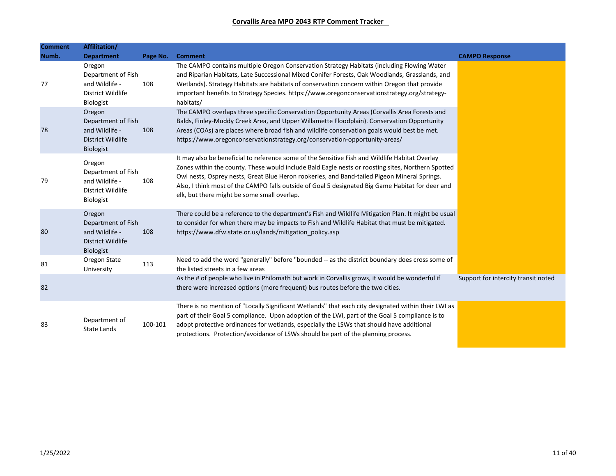| <b>Comment</b> | Affilitation/                                                                           |          |                                                                                                                                                                                                                                                                                                                                                                                                                                                        |                                     |
|----------------|-----------------------------------------------------------------------------------------|----------|--------------------------------------------------------------------------------------------------------------------------------------------------------------------------------------------------------------------------------------------------------------------------------------------------------------------------------------------------------------------------------------------------------------------------------------------------------|-------------------------------------|
| Numb.          | <b>Department</b>                                                                       | Page No. | <b>Comment</b>                                                                                                                                                                                                                                                                                                                                                                                                                                         | <b>CAMPO Response</b>               |
| 77             | Oregon<br>Department of Fish<br>and Wildlife -<br>District Wildlife<br><b>Biologist</b> | 108      | The CAMPO contains multiple Oregon Conservation Strategy Habitats (including Flowing Water<br>and Riparian Habitats, Late Successional Mixed Conifer Forests, Oak Woodlands, Grasslands, and<br>Wetlands). Strategy Habitats are habitats of conservation concern within Oregon that provide<br>important benefits to Strategy Species. https://www.oregonconservationstrategy.org/strategy-<br>habitats/                                              |                                     |
| 78             | Oregon<br>Department of Fish<br>and Wildlife -<br>District Wildlife<br><b>Biologist</b> | 108      | The CAMPO overlaps three specific Conservation Opportunity Areas (Corvallis Area Forests and<br>Balds, Finley-Muddy Creek Area, and Upper Willamette Floodplain). Conservation Opportunity<br>Areas (COAs) are places where broad fish and wildlife conservation goals would best be met.<br>https://www.oregonconservationstrategy.org/conservation-opportunity-areas/                                                                                |                                     |
| 79             | Oregon<br>Department of Fish<br>and Wildlife -<br>District Wildlife<br><b>Biologist</b> | 108      | It may also be beneficial to reference some of the Sensitive Fish and Wildlife Habitat Overlay<br>Zones within the county. These would include Bald Eagle nests or roosting sites, Northern Spotted<br>Owl nests, Osprey nests, Great Blue Heron rookeries, and Band-tailed Pigeon Mineral Springs.<br>Also, I think most of the CAMPO falls outside of Goal 5 designated Big Game Habitat for deer and<br>elk, but there might be some small overlap. |                                     |
| 80             | Oregon<br>Department of Fish<br>and Wildlife -<br>District Wildlife<br><b>Biologist</b> | 108      | There could be a reference to the department's Fish and Wildlife Mitigation Plan. It might be usual<br>to consider for when there may be impacts to Fish and Wildlife Habitat that must be mitigated.<br>https://www.dfw.state.or.us/lands/mitigation policy.asp                                                                                                                                                                                       |                                     |
| 81             | Oregon State<br>University                                                              | 113      | Need to add the word "generally" before "bounded -- as the district boundary does cross some of<br>the listed streets in a few areas                                                                                                                                                                                                                                                                                                                   |                                     |
| 82             |                                                                                         |          | As the # of people who live in Philomath but work in Corvallis grows, it would be wonderful if<br>there were increased options (more frequent) bus routes before the two cities.                                                                                                                                                                                                                                                                       | Support for intercity transit noted |
| 83             | Department of<br><b>State Lands</b>                                                     | 100-101  | There is no mention of "Locally Significant Wetlands" that each city designated within their LWI as<br>part of their Goal 5 compliance. Upon adoption of the LWI, part of the Goal 5 compliance is to<br>adopt protective ordinances for wetlands, especially the LSWs that should have additional<br>protections. Protection/avoidance of LSWs should be part of the planning process.                                                                |                                     |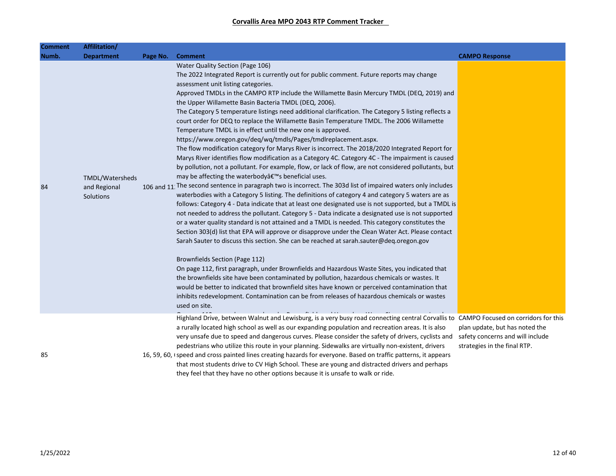| Comment<br>Numb. | Affilitation/<br><b>Department</b>           | Page No. | <b>Comment</b>                                                                                                                                                                                                                                                                                                                                                                                                                                                                                                                                                                                                                                                                                                                                                                                                                                                                                                                                                                                                                                                                                                                                                                                                                                                                                                                                                                                                                                                                                                                                                                                                                                                                                                                                                                                                                                                                                                                                                                                                                                                                                                                                                                                                                     | <b>CAMPO Response</b>                                                                              |
|------------------|----------------------------------------------|----------|------------------------------------------------------------------------------------------------------------------------------------------------------------------------------------------------------------------------------------------------------------------------------------------------------------------------------------------------------------------------------------------------------------------------------------------------------------------------------------------------------------------------------------------------------------------------------------------------------------------------------------------------------------------------------------------------------------------------------------------------------------------------------------------------------------------------------------------------------------------------------------------------------------------------------------------------------------------------------------------------------------------------------------------------------------------------------------------------------------------------------------------------------------------------------------------------------------------------------------------------------------------------------------------------------------------------------------------------------------------------------------------------------------------------------------------------------------------------------------------------------------------------------------------------------------------------------------------------------------------------------------------------------------------------------------------------------------------------------------------------------------------------------------------------------------------------------------------------------------------------------------------------------------------------------------------------------------------------------------------------------------------------------------------------------------------------------------------------------------------------------------------------------------------------------------------------------------------------------------|----------------------------------------------------------------------------------------------------|
| 84               | TMDL/Watersheds<br>and Regional<br>Solutions |          | Water Quality Section (Page 106)<br>The 2022 Integrated Report is currently out for public comment. Future reports may change<br>assessment unit listing categories.<br>Approved TMDLs in the CAMPO RTP include the Willamette Basin Mercury TMDL (DEQ, 2019) and<br>the Upper Willamette Basin Bacteria TMDL (DEQ, 2006).<br>The Category 5 temperature listings need additional clarification. The Category 5 listing reflects a<br>court order for DEQ to replace the Willamette Basin Temperature TMDL. The 2006 Willamette<br>Temperature TMDL is in effect until the new one is approved.<br>https://www.oregon.gov/deq/wq/tmdls/Pages/tmdlreplacement.aspx.<br>The flow modification category for Marys River is incorrect. The 2018/2020 Integrated Report for<br>Marys River identifies flow modification as a Category 4C. Category 4C - The impairment is caused<br>by pollution, not a pollutant. For example, flow, or lack of flow, are not considered pollutants, but<br>may be affecting the waterbody's beneficial uses.<br>106 and 11. The second sentence in paragraph two is incorrect. The 303d list of impaired waters only includes<br>waterbodies with a Category 5 listing. The definitions of category 4 and category 5 waters are as<br>follows: Category 4 - Data indicate that at least one designated use is not supported, but a TMDL is<br>not needed to address the pollutant. Category 5 - Data indicate a designated use is not supported<br>or a water quality standard is not attained and a TMDL is needed. This category constitutes the<br>Section 303(d) list that EPA will approve or disapprove under the Clean Water Act. Please contact<br>Sarah Sauter to discuss this section. She can be reached at sarah.sauter@deq.oregon.gov<br>Brownfields Section (Page 112)<br>On page 112, first paragraph, under Brownfields and Hazardous Waste Sites, you indicated that<br>the brownfields site have been contaminated by pollution, hazardous chemicals or wastes. It<br>would be better to indicated that brownfield sites have known or perceived contamination that<br>inhibits redevelopment. Contamination can be from releases of hazardous chemicals or wastes<br>used on site. |                                                                                                    |
| 85               |                                              |          | Highland Drive, between Walnut and Lewisburg, is a very busy road connecting central Corvallis to CAMPO Focused on corridors for this<br>a rurally located high school as well as our expanding population and recreation areas. It is also<br>very unsafe due to speed and dangerous curves. Please consider the safety of drivers, cyclists and<br>pedestrians who utilize this route in your planning. Sidewalks are virtually non-existent, drivers<br>16, 59, 60, (speed and cross painted lines creating hazards for everyone. Based on traffic patterns, it appears<br>that most students drive to CV High School. These are young and distracted drivers and perhaps<br>they feel that they have no other options because it is unsafe to walk or ride.                                                                                                                                                                                                                                                                                                                                                                                                                                                                                                                                                                                                                                                                                                                                                                                                                                                                                                                                                                                                                                                                                                                                                                                                                                                                                                                                                                                                                                                                    | plan update, but has noted the<br>safety concerns and will include<br>strategies in the final RTP. |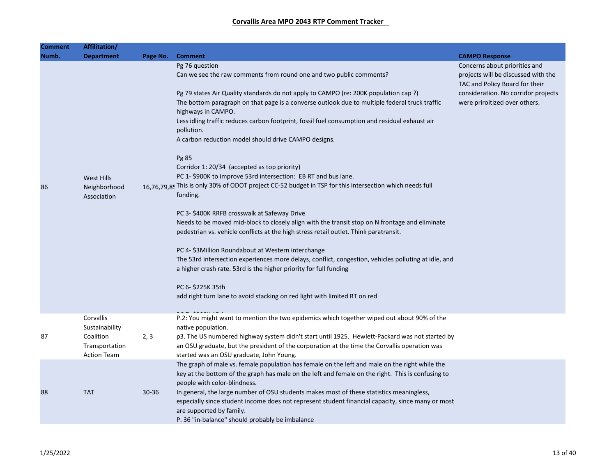| <b>Comment</b> | Affilitation/      |           |                                                                                                                                   |                                                                       |
|----------------|--------------------|-----------|-----------------------------------------------------------------------------------------------------------------------------------|-----------------------------------------------------------------------|
| Numb.          | <b>Department</b>  | Page No.  | <b>Comment</b>                                                                                                                    | <b>CAMPO Response</b>                                                 |
|                |                    |           | Pg 76 question                                                                                                                    | Concerns about priorities and                                         |
|                |                    |           | Can we see the raw comments from round one and two public comments?                                                               | projects will be discussed with the<br>TAC and Policy Board for their |
|                |                    |           | Pg 79 states Air Quality standards do not apply to CAMPO (re: 200K population cap ?)                                              | consideration. No corridor projects                                   |
|                |                    |           | The bottom paragraph on that page is a converse outlook due to multiple federal truck traffic<br>highways in CAMPO.               | were priroitized over others.                                         |
|                |                    |           | Less idling traffic reduces carbon footprint, fossil fuel consumption and residual exhaust air<br>pollution.                      |                                                                       |
|                |                    |           | A carbon reduction model should drive CAMPO designs.                                                                              |                                                                       |
|                |                    |           | Pg 85                                                                                                                             |                                                                       |
|                |                    |           | Corridor 1: 20/34 (accepted as top priority)                                                                                      |                                                                       |
|                | West Hills         |           | PC 1-\$900K to improve 53rd intersection: EB RT and bus lane.                                                                     |                                                                       |
| 86             | Neighborhood       |           | 16,76,79,85 This is only 30% of ODOT project CC-52 budget in TSP for this intersection which needs full                           |                                                                       |
|                | Association        |           | funding.                                                                                                                          |                                                                       |
|                |                    |           | PC 3- \$400K RRFB crosswalk at Safeway Drive                                                                                      |                                                                       |
|                |                    |           | Needs to be moved mid-block to closely align with the transit stop on N frontage and eliminate                                    |                                                                       |
|                |                    |           | pedestrian vs. vehicle conflicts at the high stress retail outlet. Think paratransit.                                             |                                                                       |
|                |                    |           | PC 4- \$3Million Roundabout at Western interchange                                                                                |                                                                       |
|                |                    |           | The 53rd intersection experiences more delays, conflict, congestion, vehicles polluting at idle, and                              |                                                                       |
|                |                    |           | a higher crash rate. 53rd is the higher priority for full funding                                                                 |                                                                       |
|                |                    |           | PC 6- \$225K 35th                                                                                                                 |                                                                       |
|                |                    |           | add right turn lane to avoid stacking on red light with limited RT on red                                                         |                                                                       |
|                | Corvallis          |           | P.2: You might want to mention the two epidemics which together wiped out about 90% of the                                        |                                                                       |
|                | Sustainability     |           | native population.                                                                                                                |                                                                       |
| 87             | Coalition          | 2, 3      | p3. The US numbered highway system didn't start until 1925. Hewlett-Packard was not started by                                    |                                                                       |
|                | Transportation     |           | an OSU graduate, but the president of the corporation at the time the Corvallis operation was                                     |                                                                       |
|                | <b>Action Team</b> |           | started was an OSU graduate, John Young.                                                                                          |                                                                       |
|                |                    |           | The graph of male vs. female population has female on the left and male on the right while the                                    |                                                                       |
|                |                    |           | key at the bottom of the graph has male on the left and female on the right. This is confusing to<br>people with color-blindness. |                                                                       |
| 88             | <b>TAT</b>         | $30 - 36$ | In general, the large number of OSU students makes most of these statistics meaningless,                                          |                                                                       |
|                |                    |           | especially since student income does not represent student financial capacity, since many or most                                 |                                                                       |
|                |                    |           | are supported by family.                                                                                                          |                                                                       |
|                |                    |           | P. 36 "in-balance" should probably be imbalance                                                                                   |                                                                       |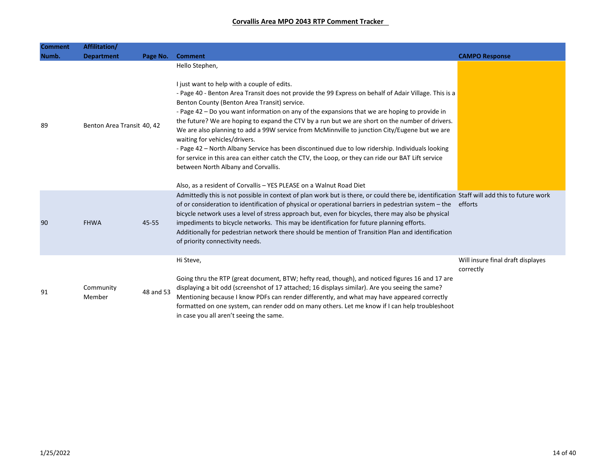| <b>Comment</b> | Affilitation/              |           |                                                                                                                                                                                                                                                                                                                                                                                                                                                                                                                                                                                                                                                                                                                                                                                                                                                                                      |                                                |
|----------------|----------------------------|-----------|--------------------------------------------------------------------------------------------------------------------------------------------------------------------------------------------------------------------------------------------------------------------------------------------------------------------------------------------------------------------------------------------------------------------------------------------------------------------------------------------------------------------------------------------------------------------------------------------------------------------------------------------------------------------------------------------------------------------------------------------------------------------------------------------------------------------------------------------------------------------------------------|------------------------------------------------|
| Numb.          | <b>Department</b>          | Page No.  | <b>Comment</b>                                                                                                                                                                                                                                                                                                                                                                                                                                                                                                                                                                                                                                                                                                                                                                                                                                                                       | <b>CAMPO Response</b>                          |
| 89             | Benton Area Transit 40, 42 |           | Hello Stephen,<br>I just want to help with a couple of edits.<br>- Page 40 - Benton Area Transit does not provide the 99 Express on behalf of Adair Village. This is a<br>Benton County (Benton Area Transit) service.<br>- Page 42 - Do you want information on any of the expansions that we are hoping to provide in<br>the future? We are hoping to expand the CTV by a run but we are short on the number of drivers.<br>We are also planning to add a 99W service from McMinnville to junction City/Eugene but we are<br>waiting for vehicles/drivers.<br>- Page 42 - North Albany Service has been discontinued due to low ridership. Individuals looking<br>for service in this area can either catch the CTV, the Loop, or they can ride our BAT Lift service<br>between North Albany and Corvallis.<br>Also, as a resident of Corvallis - YES PLEASE on a Walnut Road Diet |                                                |
| 90             | <b>FHWA</b>                | 45-55     | Admittedly this is not possible in context of plan work but is there, or could there be, identification Staff will add this to future work<br>of or consideration to identification of physical or operational barriers in pedestrian system – the efforts<br>bicycle network uses a level of stress approach but, even for bicycles, there may also be physical<br>impediments to bicycle networks. This may be identification for future planning efforts.<br>Additionally for pedestrian network there should be mention of Transition Plan and identification<br>of priority connectivity needs.                                                                                                                                                                                                                                                                                 |                                                |
| 91             | Community<br>Member        | 48 and 53 | Hi Steve,<br>Going thru the RTP (great document, BTW; hefty read, though), and noticed figures 16 and 17 are<br>displaying a bit odd (screenshot of 17 attached; 16 displays similar). Are you seeing the same?<br>Mentioning because I know PDFs can render differently, and what may have appeared correctly<br>formatted on one system, can render odd on many others. Let me know if I can help troubleshoot<br>in case you all aren't seeing the same.                                                                                                                                                                                                                                                                                                                                                                                                                          | Will insure final draft displayes<br>correctly |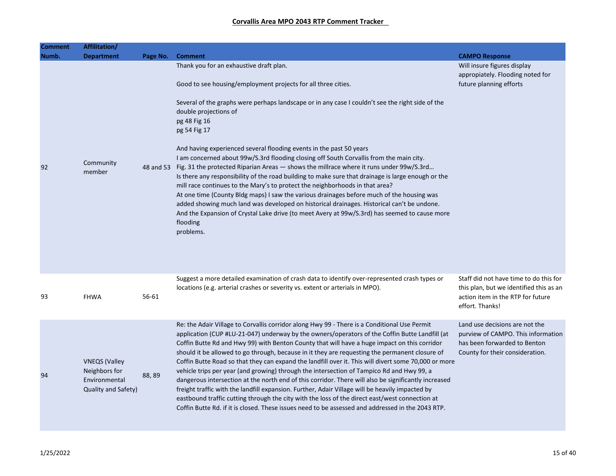| Comment | Affilitation/                                                                 |          |                                                                                                                                                                                                                                                                                                                                                                                                                                                                                                                                                                                                                                                                                                                                                                                                                                                                                                                                                                                                                         |                                                                                                                                           |
|---------|-------------------------------------------------------------------------------|----------|-------------------------------------------------------------------------------------------------------------------------------------------------------------------------------------------------------------------------------------------------------------------------------------------------------------------------------------------------------------------------------------------------------------------------------------------------------------------------------------------------------------------------------------------------------------------------------------------------------------------------------------------------------------------------------------------------------------------------------------------------------------------------------------------------------------------------------------------------------------------------------------------------------------------------------------------------------------------------------------------------------------------------|-------------------------------------------------------------------------------------------------------------------------------------------|
| Numb.   | <b>Department</b>                                                             | Page No. | <b>Comment</b>                                                                                                                                                                                                                                                                                                                                                                                                                                                                                                                                                                                                                                                                                                                                                                                                                                                                                                                                                                                                          | <b>CAMPO Response</b>                                                                                                                     |
|         |                                                                               |          | Thank you for an exhaustive draft plan.                                                                                                                                                                                                                                                                                                                                                                                                                                                                                                                                                                                                                                                                                                                                                                                                                                                                                                                                                                                 | Will insure figures display<br>appropiately. Flooding noted for                                                                           |
|         |                                                                               |          | Good to see housing/employment projects for all three cities.                                                                                                                                                                                                                                                                                                                                                                                                                                                                                                                                                                                                                                                                                                                                                                                                                                                                                                                                                           | future planning efforts                                                                                                                   |
|         |                                                                               |          | Several of the graphs were perhaps landscape or in any case I couldn't see the right side of the<br>double projections of<br>pg 48 Fig 16<br>pg 54 Fig 17                                                                                                                                                                                                                                                                                                                                                                                                                                                                                                                                                                                                                                                                                                                                                                                                                                                               |                                                                                                                                           |
| 92      | Community<br>member                                                           |          | And having experienced several flooding events in the past 50 years<br>I am concerned about 99w/S.3rd flooding closing off South Corvallis from the main city.<br>48 and 53 Fig. 31 the protected Riparian Areas - shows the millrace where it runs under 99w/S.3rd<br>Is there any responsibility of the road building to make sure that drainage is large enough or the<br>mill race continues to the Mary's to protect the neighborhoods in that area?<br>At one time (County Bldg maps) I saw the various drainages before much of the housing was<br>added showing much land was developed on historical drainages. Historical can't be undone.<br>And the Expansion of Crystal Lake drive (to meet Avery at 99w/S.3rd) has seemed to cause more<br>flooding<br>problems.                                                                                                                                                                                                                                          |                                                                                                                                           |
| 93      | <b>FHWA</b>                                                                   | 56-61    | Suggest a more detailed examination of crash data to identify over-represented crash types or<br>locations (e.g. arterial crashes or severity vs. extent or arterials in MPO).                                                                                                                                                                                                                                                                                                                                                                                                                                                                                                                                                                                                                                                                                                                                                                                                                                          | Staff did not have time to do this for<br>this plan, but we identified this as an<br>action item in the RTP for future<br>effort. Thanks! |
| 94      | <b>VNEQS</b> (Valley<br>Neighbors for<br>Environmental<br>Quality and Safety) | 88,89    | Re: the Adair Village to Corvallis corridor along Hwy 99 - There is a Conditional Use Permit<br>application (CUP #LU-21-047) underway by the owners/operators of the Coffin Butte Landfill (at<br>Coffin Butte Rd and Hwy 99) with Benton County that will have a huge impact on this corridor<br>should it be allowed to go through, because in it they are requesting the permanent closure of<br>Coffin Butte Road so that they can expand the landfill over it. This will divert some 70,000 or more<br>vehicle trips per year (and growing) through the intersection of Tampico Rd and Hwy 99, a<br>dangerous intersection at the north end of this corridor. There will also be significantly increased<br>freight traffic with the landfill expansion. Further, Adair Village will be heavily impacted by<br>eastbound traffic cutting through the city with the loss of the direct east/west connection at<br>Coffin Butte Rd. if it is closed. These issues need to be assessed and addressed in the 2043 RTP. | Land use decisions are not the<br>purview of CAMPO. This information<br>has been forwarded to Benton<br>County for their consideration.   |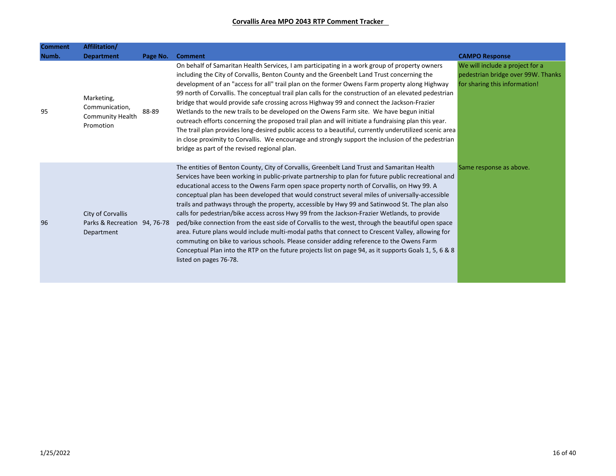| <b>Comment</b> | Affilitation/                                                   |          |                                                                                                                                                                                                                                                                                                                                                                                                                                                                                                                                                                                                                                                                                                                                                                                                                                                                                                                                                                                                                                              |                                                                                                        |
|----------------|-----------------------------------------------------------------|----------|----------------------------------------------------------------------------------------------------------------------------------------------------------------------------------------------------------------------------------------------------------------------------------------------------------------------------------------------------------------------------------------------------------------------------------------------------------------------------------------------------------------------------------------------------------------------------------------------------------------------------------------------------------------------------------------------------------------------------------------------------------------------------------------------------------------------------------------------------------------------------------------------------------------------------------------------------------------------------------------------------------------------------------------------|--------------------------------------------------------------------------------------------------------|
| Numb.          | <b>Department</b>                                               | Page No. | <b>Comment</b>                                                                                                                                                                                                                                                                                                                                                                                                                                                                                                                                                                                                                                                                                                                                                                                                                                                                                                                                                                                                                               | <b>CAMPO Response</b>                                                                                  |
| 95             | Marketing,<br>Communication,<br>Community Health<br>Promotion   | 88-89    | On behalf of Samaritan Health Services, I am participating in a work group of property owners<br>including the City of Corvallis, Benton County and the Greenbelt Land Trust concerning the<br>development of an "access for all" trail plan on the former Owens Farm property along Highway<br>99 north of Corvallis. The conceptual trail plan calls for the construction of an elevated pedestrian<br>bridge that would provide safe crossing across Highway 99 and connect the Jackson-Frazier<br>Wetlands to the new trails to be developed on the Owens Farm site. We have begun initial<br>outreach efforts concerning the proposed trail plan and will initiate a fundraising plan this year.<br>The trail plan provides long-desired public access to a beautiful, currently underutilized scenic area<br>in close proximity to Corvallis. We encourage and strongly support the inclusion of the pedestrian<br>bridge as part of the revised regional plan.                                                                        | We will include a project for a<br>pedestrian bridge over 99W. Thanks<br>for sharing this information! |
| 96             | City of Corvallis<br>Parks & Recreation 94, 76-78<br>Department |          | The entities of Benton County, City of Corvallis, Greenbelt Land Trust and Samaritan Health<br>Services have been working in public-private partnership to plan for future public recreational and<br>educational access to the Owens Farm open space property north of Corvallis, on Hwy 99. A<br>conceptual plan has been developed that would construct several miles of universally-accessible<br>trails and pathways through the property, accessible by Hwy 99 and Satinwood St. The plan also<br>calls for pedestrian/bike access across Hwy 99 from the Jackson-Frazier Wetlands, to provide<br>ped/bike connection from the east side of Corvallis to the west, through the beautiful open space<br>area. Future plans would include multi-modal paths that connect to Crescent Valley, allowing for<br>commuting on bike to various schools. Please consider adding reference to the Owens Farm<br>Conceptual Plan into the RTP on the future projects list on page 94, as it supports Goals 1, 5, 6 & 8<br>listed on pages 76-78. | Same response as above.                                                                                |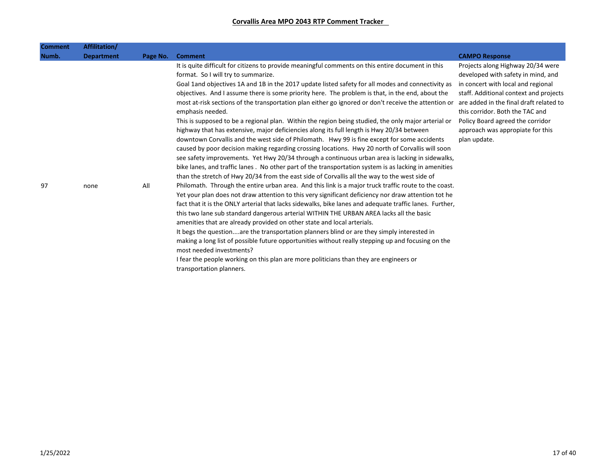| <b>Comment</b> | Affilitation/     |          |                                                                                                                                                                                                                                                                                                                                                                                                                                                                                                                                                                                                                                                                                                                                                                                                                                                                                                                                                                                         |                                                                                                                                                                                                                                                                                                                               |
|----------------|-------------------|----------|-----------------------------------------------------------------------------------------------------------------------------------------------------------------------------------------------------------------------------------------------------------------------------------------------------------------------------------------------------------------------------------------------------------------------------------------------------------------------------------------------------------------------------------------------------------------------------------------------------------------------------------------------------------------------------------------------------------------------------------------------------------------------------------------------------------------------------------------------------------------------------------------------------------------------------------------------------------------------------------------|-------------------------------------------------------------------------------------------------------------------------------------------------------------------------------------------------------------------------------------------------------------------------------------------------------------------------------|
| Numb.          | <b>Department</b> | Page No. | <b>Comment</b>                                                                                                                                                                                                                                                                                                                                                                                                                                                                                                                                                                                                                                                                                                                                                                                                                                                                                                                                                                          | <b>CAMPO Response</b>                                                                                                                                                                                                                                                                                                         |
|                |                   |          | It is quite difficult for citizens to provide meaningful comments on this entire document in this<br>format. So I will try to summarize.<br>Goal 1and objectives 1A and 1B in the 2017 update listed safety for all modes and connectivity as<br>objectives. And I assume there is some priority here. The problem is that, in the end, about the<br>most at-risk sections of the transportation plan either go ignored or don't receive the attention or<br>emphasis needed.<br>This is supposed to be a regional plan. Within the region being studied, the only major arterial or<br>highway that has extensive, major deficiencies along its full length is Hwy 20/34 between<br>downtown Corvallis and the west side of Philomath. Hwy 99 is fine except for some accidents<br>caused by poor decision making regarding crossing locations. Hwy 20 north of Corvallis will soon<br>see safety improvements. Yet Hwy 20/34 through a continuous urban area is lacking in sidewalks, | Projects along Highway 20/34 were<br>developed with safety in mind, and<br>in concert with local and regional<br>staff. Additional context and projects<br>are added in the final draft related to<br>this corridor. Both the TAC and<br>Policy Board agreed the corridor<br>approach was appropiate for this<br>plan update. |
|                |                   |          | bike lanes, and traffic lanes. No other part of the transportation system is as lacking in amenities<br>than the stretch of Hwy 20/34 from the east side of Corvallis all the way to the west side of                                                                                                                                                                                                                                                                                                                                                                                                                                                                                                                                                                                                                                                                                                                                                                                   |                                                                                                                                                                                                                                                                                                                               |
| 97             | none              | All      | Philomath. Through the entire urban area. And this link is a major truck traffic route to the coast.<br>Yet your plan does not draw attention to this very significant deficiency nor draw attention tot he<br>fact that it is the ONLY arterial that lacks sidewalks, bike lanes and adequate traffic lanes. Further,<br>this two lane sub standard dangerous arterial WITHIN THE URBAN AREA lacks all the basic<br>amenities that are already provided on other state and local arterials.<br>It begs the questionare the transportation planners blind or are they simply interested in<br>making a long list of possible future opportunities without really stepping up and focusing on the<br>most needed investments?<br>I fear the people working on this plan are more politicians than they are engineers or<br>transportation planners.                                                                                                                                      |                                                                                                                                                                                                                                                                                                                               |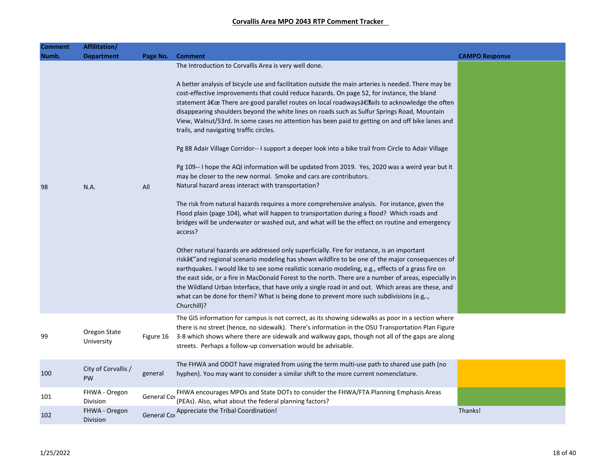| <b>Comment</b> | Affilitation/              |             |                                                                                                                                                                                                                                                                                                                                                                                                                                                                                                                                                                                                                                                                                                                                                                                                                                                                                                                                                                                                                                                                                                                                                                                                                                                                                                                                                                                                                                                                                                                                                                                                                                                                                                                                                                                                                                                                                                 |                       |
|----------------|----------------------------|-------------|-------------------------------------------------------------------------------------------------------------------------------------------------------------------------------------------------------------------------------------------------------------------------------------------------------------------------------------------------------------------------------------------------------------------------------------------------------------------------------------------------------------------------------------------------------------------------------------------------------------------------------------------------------------------------------------------------------------------------------------------------------------------------------------------------------------------------------------------------------------------------------------------------------------------------------------------------------------------------------------------------------------------------------------------------------------------------------------------------------------------------------------------------------------------------------------------------------------------------------------------------------------------------------------------------------------------------------------------------------------------------------------------------------------------------------------------------------------------------------------------------------------------------------------------------------------------------------------------------------------------------------------------------------------------------------------------------------------------------------------------------------------------------------------------------------------------------------------------------------------------------------------------------|-----------------------|
| Numb.          | <b>Department</b>          | Page No.    | <b>Comment</b>                                                                                                                                                                                                                                                                                                                                                                                                                                                                                                                                                                                                                                                                                                                                                                                                                                                                                                                                                                                                                                                                                                                                                                                                                                                                                                                                                                                                                                                                                                                                                                                                                                                                                                                                                                                                                                                                                  | <b>CAMPO Response</b> |
| 98             | N.A.                       | All         | The Introduction to Corvallis Area is very well done.<br>A better analysis of bicycle use and facilitation outside the main arteries is needed. There may be<br>cost-effective improvements that could reduce hazards. On page 52, for instance, the bland<br>statement " There are good parallel routes on local roadwaysâ€Ifails to acknowledge the often<br>disappearing shoulders beyond the white lines on roads such as Sulfur Springs Road, Mountain<br>View, Walnut/53rd. In some cases no attention has been paid to getting on and off bike lanes and<br>trails, and navigating traffic circles.<br>Pg 88 Adair Village Corridor-- I support a deeper look into a bike trail from Circle to Adair Village<br>Pg 109-- I hope the AQI information will be updated from 2019. Yes, 2020 was a weird year but it<br>may be closer to the new normal. Smoke and cars are contributors.<br>Natural hazard areas interact with transportation?<br>The risk from natural hazards requires a more comprehensive analysis. For instance, given the<br>Flood plain (page 104), what will happen to transportation during a flood? Which roads and<br>bridges will be underwater or washed out, and what will be the effect on routine and emergency<br>access?<br>Other natural hazards are addressed only superficially. Fire for instance, is an important<br>riskâ€" and regional scenario modeling has shown wildfire to be one of the major consequences of<br>earthquakes. I would like to see some realistic scenario modeling, e.g., effects of a grass fire on<br>the east side, or a fire in MacDonald Forest to the north. There are a number of areas, especially in<br>the Wildland Urban Interface, that have only a single road in and out. Which areas are these, and<br>what can be done for them? What is being done to prevent more such subdivisions (e.g,.,<br>Churchill)? |                       |
| 99             | Oregon State<br>University | Figure 16   | The GIS information for campus is not correct, as its showing sidewalks as poor in a section where<br>there is no street (hence, no sidewalk). There's information in the OSU Transportation Plan Figure<br>3-8 which shows where there are sidewalk and walkway gaps, though not all of the gaps are along<br>streets. Perhaps a follow-up conversation would be advisable.                                                                                                                                                                                                                                                                                                                                                                                                                                                                                                                                                                                                                                                                                                                                                                                                                                                                                                                                                                                                                                                                                                                                                                                                                                                                                                                                                                                                                                                                                                                    |                       |
| 100            | City of Corvallis /<br>PW  | general     | The FHWA and ODOT have migrated from using the term multi-use path to shared use path (no<br>hyphen). You may want to consider a similar shift to the more current nomenclature.                                                                                                                                                                                                                                                                                                                                                                                                                                                                                                                                                                                                                                                                                                                                                                                                                                                                                                                                                                                                                                                                                                                                                                                                                                                                                                                                                                                                                                                                                                                                                                                                                                                                                                                |                       |
| 101            | FHWA - Oregon<br>Division  | General Cor | FHWA encourages MPOs and State DOTs to consider the FHWA/FTA Planning Emphasis Areas<br>(PEAs). Also, what about the federal planning factors?                                                                                                                                                                                                                                                                                                                                                                                                                                                                                                                                                                                                                                                                                                                                                                                                                                                                                                                                                                                                                                                                                                                                                                                                                                                                                                                                                                                                                                                                                                                                                                                                                                                                                                                                                  |                       |
| 102            | FHWA - Oregon<br>Division  | General Cor | Appreciate the Tribal Coordination!                                                                                                                                                                                                                                                                                                                                                                                                                                                                                                                                                                                                                                                                                                                                                                                                                                                                                                                                                                                                                                                                                                                                                                                                                                                                                                                                                                                                                                                                                                                                                                                                                                                                                                                                                                                                                                                             | Thanks!               |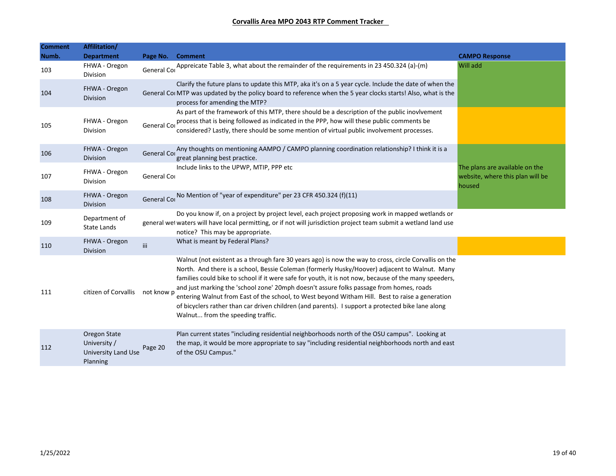| <b>Comment</b> | Affilitation/                                                   |                    |                                                                                                                                                                                                                                                                                                                                                                                                                                                                                                                                                                                                                                                         |                                                                              |
|----------------|-----------------------------------------------------------------|--------------------|---------------------------------------------------------------------------------------------------------------------------------------------------------------------------------------------------------------------------------------------------------------------------------------------------------------------------------------------------------------------------------------------------------------------------------------------------------------------------------------------------------------------------------------------------------------------------------------------------------------------------------------------------------|------------------------------------------------------------------------------|
| Numb.          | <b>Department</b>                                               | Page No.           | <b>Comment</b>                                                                                                                                                                                                                                                                                                                                                                                                                                                                                                                                                                                                                                          | <b>CAMPO Response</b>                                                        |
| 103            | FHWA - Oregon<br>Division                                       | <b>General Cor</b> | Appreicate Table 3, what about the remainder of the requirements in 23 450.324 (a)-(m)                                                                                                                                                                                                                                                                                                                                                                                                                                                                                                                                                                  | Will add                                                                     |
| 104            | FHWA - Oregon<br>Division                                       |                    | Clarify the future plans to update this MTP, aka it's on a 5 year cycle. Include the date of when the<br>General Coi MTP was updated by the policy board to reference when the 5 year clocks starts! Also, what is the<br>process for amending the MTP?                                                                                                                                                                                                                                                                                                                                                                                                 |                                                                              |
| 105            | FHWA - Oregon<br>Division                                       | General Cor        | As part of the framework of this MTP, there should be a description of the public inovlvement<br>process that is being followed as indicated in the PPP, how will these public comments be<br>considered? Lastly, there should be some mention of virtual public involvement processes.                                                                                                                                                                                                                                                                                                                                                                 |                                                                              |
| 106            | FHWA - Oregon<br>Division                                       | <b>General Cor</b> | Any thoughts on mentioning AAMPO / CAMPO planning coordination relationship? I think it is a<br>great planning best practice.                                                                                                                                                                                                                                                                                                                                                                                                                                                                                                                           |                                                                              |
| 107            | FHWA - Oregon<br>Division                                       | General Cor        | Include links to the UPWP, MTIP, PPP etc                                                                                                                                                                                                                                                                                                                                                                                                                                                                                                                                                                                                                | The plans are available on the<br>website, where this plan will be<br>housed |
| 108            | FHWA - Oregon<br><b>Division</b>                                | General Cor        | No Mention of "year of expenditure" per 23 CFR 450.324 (f)(11)                                                                                                                                                                                                                                                                                                                                                                                                                                                                                                                                                                                          |                                                                              |
| 109            | Department of<br><b>State Lands</b>                             |                    | Do you know if, on a project by project level, each project proposing work in mapped wetlands or<br>general wet waters will have local permitting, or if not will jurisdiction project team submit a wetland land use<br>notice? This may be appropriate.                                                                                                                                                                                                                                                                                                                                                                                               |                                                                              |
| 110            | FHWA - Oregon<br>Division                                       | iii                | What is meant by Federal Plans?                                                                                                                                                                                                                                                                                                                                                                                                                                                                                                                                                                                                                         |                                                                              |
| 111            | citizen of Corvallis                                            | not know p         | Walnut (not existent as a through fare 30 years ago) is now the way to cross, circle Corvallis on the<br>North. And there is a school, Bessie Coleman (formerly Husky/Hoover) adjacent to Walnut. Many<br>families could bike to school if it were safe for youth, it is not now, because of the many speeders,<br>and just marking the 'school zone' 20mph doesn't assure folks passage from homes, roads<br>entering Walnut from East of the school, to West beyond Witham Hill. Best to raise a generation<br>of bicyclers rather than car driven children (and parents). I support a protected bike lane along<br>Walnut from the speeding traffic. |                                                                              |
| 112            | Oregon State<br>University /<br>University Land Use<br>Planning | Page 20            | Plan current states "including residential neighborhoods north of the OSU campus". Looking at<br>the map, it would be more appropriate to say "including residential neighborhoods north and east<br>of the OSU Campus."                                                                                                                                                                                                                                                                                                                                                                                                                                |                                                                              |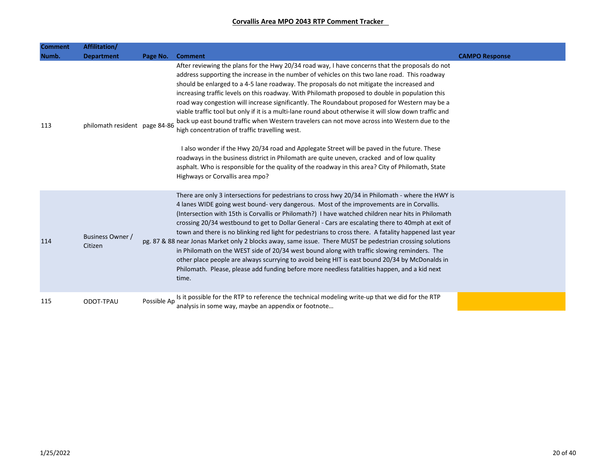| <b>Comment</b> | Affilitation/                      |             |                                                                                                                                                                                                                                                                                                                                                                                                                                                                                                                                                                                                                                                                                                                                                                                                                                                                                                                                                                                                                                                                                                      |                       |
|----------------|------------------------------------|-------------|------------------------------------------------------------------------------------------------------------------------------------------------------------------------------------------------------------------------------------------------------------------------------------------------------------------------------------------------------------------------------------------------------------------------------------------------------------------------------------------------------------------------------------------------------------------------------------------------------------------------------------------------------------------------------------------------------------------------------------------------------------------------------------------------------------------------------------------------------------------------------------------------------------------------------------------------------------------------------------------------------------------------------------------------------------------------------------------------------|-----------------------|
| Numb.          | <b>Department</b>                  | Page No.    | <b>Comment</b>                                                                                                                                                                                                                                                                                                                                                                                                                                                                                                                                                                                                                                                                                                                                                                                                                                                                                                                                                                                                                                                                                       | <b>CAMPO Response</b> |
| 113            | philomath resident page 84-86      |             | After reviewing the plans for the Hwy 20/34 road way, I have concerns that the proposals do not<br>address supporting the increase in the number of vehicles on this two lane road. This roadway<br>should be enlarged to a 4-5 lane roadway. The proposals do not mitigate the increased and<br>increasing traffic levels on this roadway. With Philomath proposed to double in population this<br>road way congestion will increase significantly. The Roundabout proposed for Western may be a<br>viable traffic tool but only if it is a multi-lane round about otherwise it will slow down traffic and<br>back up east bound traffic when Western travelers can not move across into Western due to the<br>high concentration of traffic travelling west.<br>I also wonder if the Hwy 20/34 road and Applegate Street will be paved in the future. These<br>roadways in the business district in Philomath are quite uneven, cracked and of low quality<br>asphalt. Who is responsible for the quality of the roadway in this area? City of Philomath, State<br>Highways or Corvallis area mpo? |                       |
| 114            | <b>Business Owner /</b><br>Citizen |             | There are only 3 intersections for pedestrians to cross hwy 20/34 in Philomath - where the HWY is<br>4 lanes WIDE going west bound-very dangerous. Most of the improvements are in Corvallis.<br>(Intersection with 15th is Corvallis or Philomath?) I have watched children near hits in Philomath<br>crossing 20/34 westbound to get to Dollar General - Cars are escalating there to 40mph at exit of<br>town and there is no blinking red light for pedestrians to cross there. A fatality happened last year<br>pg. 87 & 88 near Jonas Market only 2 blocks away, same issue. There MUST be pedestrian crossing solutions<br>in Philomath on the WEST side of 20/34 west bound along with traffic slowing reminders. The<br>other place people are always scurrying to avoid being HIT is east bound 20/34 by McDonalds in<br>Philomath. Please, please add funding before more needless fatalities happen, and a kid next<br>time.                                                                                                                                                             |                       |
| 115            | ODOT-TPAU                          | Possible Ap | Is it possible for the RTP to reference the technical modeling write-up that we did for the RTP<br>analysis in some way, maybe an appendix or footnote                                                                                                                                                                                                                                                                                                                                                                                                                                                                                                                                                                                                                                                                                                                                                                                                                                                                                                                                               |                       |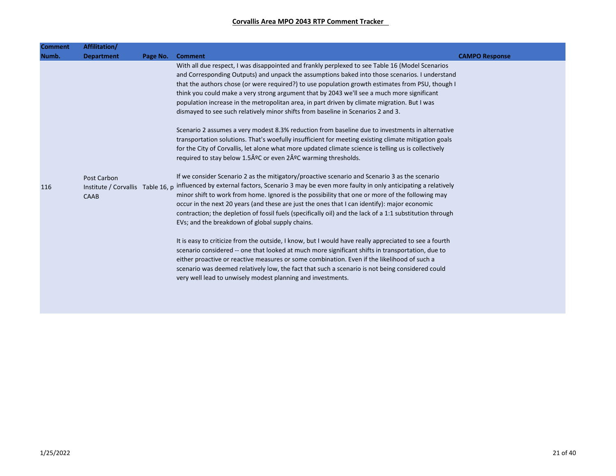| <b>Comment</b> | Affilitation/     |          |                                                                                                                                        |                       |
|----------------|-------------------|----------|----------------------------------------------------------------------------------------------------------------------------------------|-----------------------|
| Numb.          | <b>Department</b> | Page No. | <b>Comment</b>                                                                                                                         | <b>CAMPO Response</b> |
|                |                   |          | With all due respect, I was disappointed and frankly perplexed to see Table 16 (Model Scenarios                                        |                       |
|                |                   |          | and Corresponding Outputs) and unpack the assumptions baked into those scenarios. I understand                                         |                       |
|                |                   |          | that the authors chose (or were required?) to use population growth estimates from PSU, though I                                       |                       |
|                |                   |          | think you could make a very strong argument that by 2043 we'll see a much more significant                                             |                       |
|                |                   |          | population increase in the metropolitan area, in part driven by climate migration. But I was                                           |                       |
|                |                   |          | dismayed to see such relatively minor shifts from baseline in Scenarios 2 and 3.                                                       |                       |
|                |                   |          | Scenario 2 assumes a very modest 8.3% reduction from baseline due to investments in alternative                                        |                       |
|                |                   |          | transportation solutions. That's woefully insufficient for meeting existing climate mitigation goals                                   |                       |
|                |                   |          | for the City of Corvallis, let alone what more updated climate science is telling us is collectively                                   |                       |
|                |                   |          | required to stay below 1.5ºC or even 2ºC warming thresholds.                                                                           |                       |
|                | Post Carbon       |          | If we consider Scenario 2 as the mitigatory/proactive scenario and Scenario 3 as the scenario                                          |                       |
| 116            |                   |          | Institute / Corvallis Table 16, p influenced by external factors, Scenario 3 may be even more faulty in only anticipating a relatively |                       |
|                | CAAB              |          | minor shift to work from home. Ignored is the possibility that one or more of the following may                                        |                       |
|                |                   |          | occur in the next 20 years (and these are just the ones that I can identify): major economic                                           |                       |
|                |                   |          | contraction; the depletion of fossil fuels (specifically oil) and the lack of a 1:1 substitution through                               |                       |
|                |                   |          | EVs; and the breakdown of global supply chains.                                                                                        |                       |
|                |                   |          | It is easy to criticize from the outside, I know, but I would have really appreciated to see a fourth                                  |                       |
|                |                   |          | scenario considered -- one that looked at much more significant shifts in transportation, due to                                       |                       |
|                |                   |          | either proactive or reactive measures or some combination. Even if the likelihood of such a                                            |                       |
|                |                   |          | scenario was deemed relatively low, the fact that such a scenario is not being considered could                                        |                       |
|                |                   |          | very well lead to unwisely modest planning and investments.                                                                            |                       |
|                |                   |          |                                                                                                                                        |                       |
|                |                   |          |                                                                                                                                        |                       |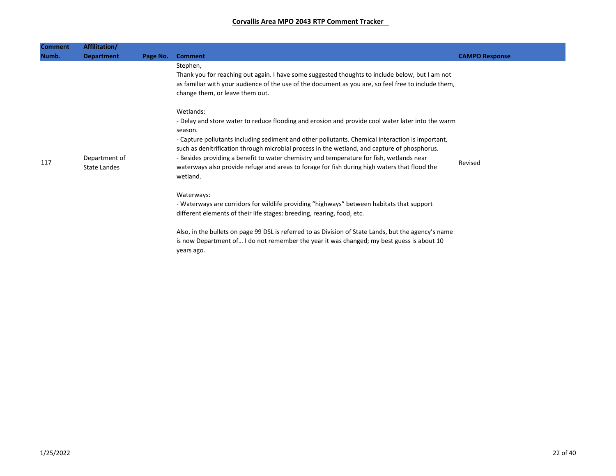| <b>Comment</b> | Affilitation/                        |          |                                                                                                                                                                                                                                                                                                                                                                                                                                                                                                                                       |                       |
|----------------|--------------------------------------|----------|---------------------------------------------------------------------------------------------------------------------------------------------------------------------------------------------------------------------------------------------------------------------------------------------------------------------------------------------------------------------------------------------------------------------------------------------------------------------------------------------------------------------------------------|-----------------------|
| Numb.          | <b>Department</b>                    | Page No. | <b>Comment</b>                                                                                                                                                                                                                                                                                                                                                                                                                                                                                                                        | <b>CAMPO Response</b> |
|                |                                      |          | Stephen,<br>Thank you for reaching out again. I have some suggested thoughts to include below, but I am not<br>as familiar with your audience of the use of the document as you are, so feel free to include them,<br>change them, or leave them out.                                                                                                                                                                                                                                                                                 |                       |
| 117            | Department of<br><b>State Landes</b> |          | Wetlands:<br>- Delay and store water to reduce flooding and erosion and provide cool water later into the warm<br>season.<br>- Capture pollutants including sediment and other pollutants. Chemical interaction is important,<br>such as denitrification through microbial process in the wetland, and capture of phosphorus.<br>- Besides providing a benefit to water chemistry and temperature for fish, wetlands near<br>waterways also provide refuge and areas to forage for fish during high waters that flood the<br>wetland. | Revised               |
|                |                                      |          | Waterways:<br>- Waterways are corridors for wildlife providing "highways" between habitats that support<br>different elements of their life stages: breeding, rearing, food, etc.                                                                                                                                                                                                                                                                                                                                                     |                       |
|                |                                      |          | Also, in the bullets on page 99 DSL is referred to as Division of State Lands, but the agency's name<br>is now Department of I do not remember the year it was changed; my best guess is about 10<br>years ago.                                                                                                                                                                                                                                                                                                                       |                       |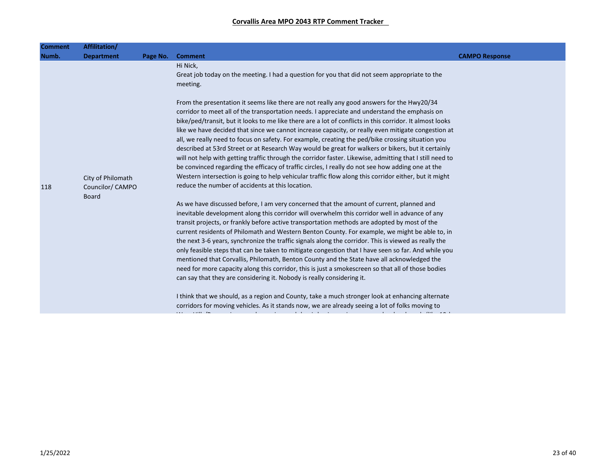| <b>Comment</b> | Affilitation/                         |          |                                                                                                                                                                                                                                                                                                                                                                                                                                                                                                                                                                                                                                                                                                                                                                                                                                                                                                                                                                                                        |                       |
|----------------|---------------------------------------|----------|--------------------------------------------------------------------------------------------------------------------------------------------------------------------------------------------------------------------------------------------------------------------------------------------------------------------------------------------------------------------------------------------------------------------------------------------------------------------------------------------------------------------------------------------------------------------------------------------------------------------------------------------------------------------------------------------------------------------------------------------------------------------------------------------------------------------------------------------------------------------------------------------------------------------------------------------------------------------------------------------------------|-----------------------|
| Numb.          | <b>Department</b>                     | Page No. | <b>Comment</b>                                                                                                                                                                                                                                                                                                                                                                                                                                                                                                                                                                                                                                                                                                                                                                                                                                                                                                                                                                                         | <b>CAMPO Response</b> |
|                |                                       |          | Hi Nick,<br>Great job today on the meeting. I had a question for you that did not seem appropriate to the<br>meeting.                                                                                                                                                                                                                                                                                                                                                                                                                                                                                                                                                                                                                                                                                                                                                                                                                                                                                  |                       |
| 118            | City of Philomath<br>Councilor/ CAMPO |          | From the presentation it seems like there are not really any good answers for the Hwy20/34<br>corridor to meet all of the transportation needs. I appreciate and understand the emphasis on<br>bike/ped/transit, but it looks to me like there are a lot of conflicts in this corridor. It almost looks<br>like we have decided that since we cannot increase capacity, or really even mitigate congestion at<br>all, we really need to focus on safety. For example, creating the ped/bike crossing situation you<br>described at 53rd Street or at Research Way would be great for walkers or bikers, but it certainly<br>will not help with getting traffic through the corridor faster. Likewise, admitting that I still need to<br>be convinced regarding the efficacy of traffic circles, I really do not see how adding one at the<br>Western intersection is going to help vehicular traffic flow along this corridor either, but it might<br>reduce the number of accidents at this location. |                       |
|                | <b>Board</b>                          |          | As we have discussed before, I am very concerned that the amount of current, planned and<br>inevitable development along this corridor will overwhelm this corridor well in advance of any<br>transit projects, or frankly before active transportation methods are adopted by most of the<br>current residents of Philomath and Western Benton County. For example, we might be able to, in<br>the next 3-6 years, synchronize the traffic signals along the corridor. This is viewed as really the<br>only feasible steps that can be taken to mitigate congestion that I have seen so far. And while you<br>mentioned that Corvallis, Philomath, Benton County and the State have all acknowledged the<br>need for more capacity along this corridor, this is just a smokescreen so that all of those bodies<br>can say that they are considering it. Nobody is really considering it.                                                                                                              |                       |
|                |                                       |          | I think that we should, as a region and County, take a much stronger look at enhancing alternate<br>corridors for moving vehicles. As it stands now, we are already seeing a lot of folks moving to                                                                                                                                                                                                                                                                                                                                                                                                                                                                                                                                                                                                                                                                                                                                                                                                    |                       |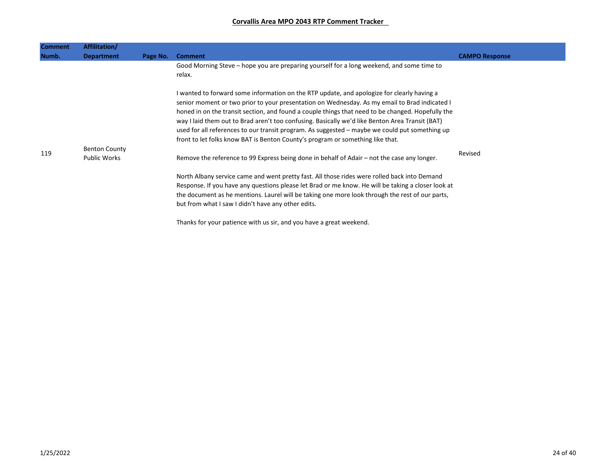| Comment | Affilitation/                               |          |                                                                                                                                                                                                                                                                                                                                                                                                                                                                                                                                                                                         |                       |
|---------|---------------------------------------------|----------|-----------------------------------------------------------------------------------------------------------------------------------------------------------------------------------------------------------------------------------------------------------------------------------------------------------------------------------------------------------------------------------------------------------------------------------------------------------------------------------------------------------------------------------------------------------------------------------------|-----------------------|
| Numb.   | <b>Department</b>                           | Page No. | <b>Comment</b>                                                                                                                                                                                                                                                                                                                                                                                                                                                                                                                                                                          | <b>CAMPO Response</b> |
|         |                                             |          | Good Morning Steve – hope you are preparing yourself for a long weekend, and some time to<br>relax.                                                                                                                                                                                                                                                                                                                                                                                                                                                                                     |                       |
|         |                                             |          | I wanted to forward some information on the RTP update, and apologize for clearly having a<br>senior moment or two prior to your presentation on Wednesday. As my email to Brad indicated I<br>honed in on the transit section, and found a couple things that need to be changed. Hopefully the<br>way I laid them out to Brad aren't too confusing. Basically we'd like Benton Area Transit (BAT)<br>used for all references to our transit program. As suggested – maybe we could put something up<br>front to let folks know BAT is Benton County's program or something like that. |                       |
| 119     | <b>Benton County</b><br><b>Public Works</b> |          | Remove the reference to 99 Express being done in behalf of Adair – not the case any longer.                                                                                                                                                                                                                                                                                                                                                                                                                                                                                             | Revised               |
|         |                                             |          | North Albany service came and went pretty fast. All those rides were rolled back into Demand<br>Response. If you have any questions please let Brad or me know. He will be taking a closer look at<br>the document as he mentions. Laurel will be taking one more look through the rest of our parts,<br>but from what I saw I didn't have any other edits.                                                                                                                                                                                                                             |                       |
|         |                                             |          | Thanks for your patience with us sir, and you have a great weekend.                                                                                                                                                                                                                                                                                                                                                                                                                                                                                                                     |                       |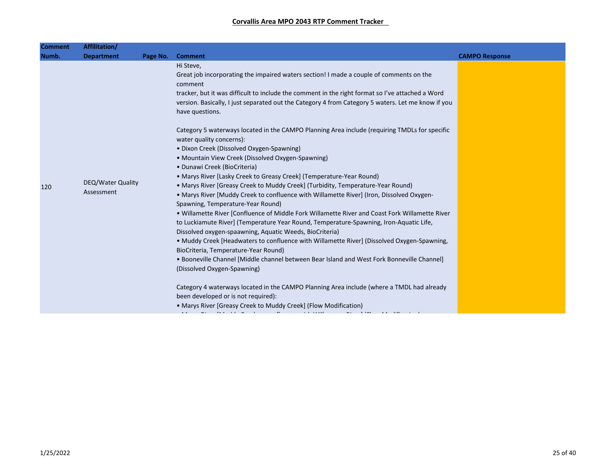| <b>Comment</b> | Affilitation/                   |          |                                                                                                                                                                                                                                                                                                                                                                                                                                                                                                                                                                                                                                                                                                                                                                                                                                                                                                                                                                                                                                                                                                                                                                                                                                                                                                                                                                                                                                                                                                                                                                                                                                          |                       |
|----------------|---------------------------------|----------|------------------------------------------------------------------------------------------------------------------------------------------------------------------------------------------------------------------------------------------------------------------------------------------------------------------------------------------------------------------------------------------------------------------------------------------------------------------------------------------------------------------------------------------------------------------------------------------------------------------------------------------------------------------------------------------------------------------------------------------------------------------------------------------------------------------------------------------------------------------------------------------------------------------------------------------------------------------------------------------------------------------------------------------------------------------------------------------------------------------------------------------------------------------------------------------------------------------------------------------------------------------------------------------------------------------------------------------------------------------------------------------------------------------------------------------------------------------------------------------------------------------------------------------------------------------------------------------------------------------------------------------|-----------------------|
| Numb.          | <b>Department</b>               | Page No. | <b>Comment</b>                                                                                                                                                                                                                                                                                                                                                                                                                                                                                                                                                                                                                                                                                                                                                                                                                                                                                                                                                                                                                                                                                                                                                                                                                                                                                                                                                                                                                                                                                                                                                                                                                           | <b>CAMPO Response</b> |
| 120            | DEQ/Water Quality<br>Assessment |          | Hi Steve,<br>Great job incorporating the impaired waters section! I made a couple of comments on the<br>comment<br>tracker, but it was difficult to include the comment in the right format so I've attached a Word<br>version. Basically, I just separated out the Category 4 from Category 5 waters. Let me know if you<br>have questions.<br>Category 5 waterways located in the CAMPO Planning Area include (requiring TMDLs for specific<br>water quality concerns):<br>· Dixon Creek (Dissolved Oxygen-Spawning)<br>• Mountain View Creek (Dissolved Oxygen-Spawning)<br>• Dunawi Creek (BioCriteria)<br>• Marys River [Lasky Creek to Greasy Creek] (Temperature-Year Round)<br>• Marys River [Greasy Creek to Muddy Creek] (Turbidity, Temperature-Year Round)<br>• Marys River [Muddy Creek to confluence with Willamette River] (Iron, Dissolved Oxygen-<br>Spawning, Temperature-Year Round)<br>. Willamette River [Confluence of Middle Fork Willamette River and Coast Fork Willamette River<br>to Luckiamute River] (Temperature Year Round, Temperature-Spawning, Iron-Aquatic Life,<br>Dissolved oxygen-spaawning, Aquatic Weeds, BioCriteria)<br>• Muddy Creek [Headwaters to confluence with Willamette River] (Dissolved Oxygen-Spawning,<br>BioCriteria, Temperature-Year Round)<br>. Booneville Channel [Middle channel between Bear Island and West Fork Bonneville Channel]<br>(Dissolved Oxygen-Spawning)<br>Category 4 waterways located in the CAMPO Planning Area include (where a TMDL had already<br>been developed or is not required):<br>• Marys River [Greasy Creek to Muddy Creek] (Flow Modification) |                       |
|                |                                 |          |                                                                                                                                                                                                                                                                                                                                                                                                                                                                                                                                                                                                                                                                                                                                                                                                                                                                                                                                                                                                                                                                                                                                                                                                                                                                                                                                                                                                                                                                                                                                                                                                                                          |                       |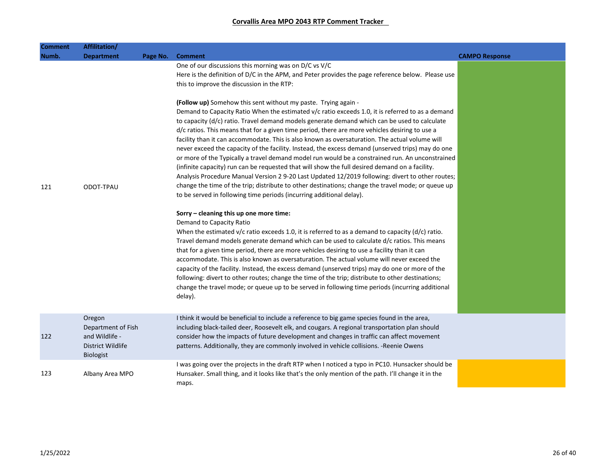| Comment | Affilitation/                                                                           |          |                                                                                                                                                                                                                                                                                                                                                                                                                                                                                                                                                                                                                                                                                                                                                                                                                                                                                                                                                                            |                       |
|---------|-----------------------------------------------------------------------------------------|----------|----------------------------------------------------------------------------------------------------------------------------------------------------------------------------------------------------------------------------------------------------------------------------------------------------------------------------------------------------------------------------------------------------------------------------------------------------------------------------------------------------------------------------------------------------------------------------------------------------------------------------------------------------------------------------------------------------------------------------------------------------------------------------------------------------------------------------------------------------------------------------------------------------------------------------------------------------------------------------|-----------------------|
| Numb.   | <b>Department</b>                                                                       | Page No. | <b>Comment</b>                                                                                                                                                                                                                                                                                                                                                                                                                                                                                                                                                                                                                                                                                                                                                                                                                                                                                                                                                             | <b>CAMPO Response</b> |
|         |                                                                                         |          | One of our discussions this morning was on D/C vs V/C<br>Here is the definition of D/C in the APM, and Peter provides the page reference below. Please use<br>this to improve the discussion in the RTP:                                                                                                                                                                                                                                                                                                                                                                                                                                                                                                                                                                                                                                                                                                                                                                   |                       |
|         |                                                                                         |          | (Follow up) Somehow this sent without my paste. Trying again -<br>Demand to Capacity Ratio When the estimated v/c ratio exceeds 1.0, it is referred to as a demand<br>to capacity (d/c) ratio. Travel demand models generate demand which can be used to calculate<br>d/c ratios. This means that for a given time period, there are more vehicles desiring to use a<br>facility than it can accommodate. This is also known as oversaturation. The actual volume will<br>never exceed the capacity of the facility. Instead, the excess demand (unserved trips) may do one<br>or more of the Typically a travel demand model run would be a constrained run. An unconstrained<br>(infinite capacity) run can be requested that will show the full desired demand on a facility.<br>Analysis Procedure Manual Version 2 9-20 Last Updated 12/2019 following: divert to other routes;                                                                                       |                       |
| 121     | ODOT-TPAU                                                                               |          | change the time of the trip; distribute to other destinations; change the travel mode; or queue up<br>to be served in following time periods (incurring additional delay).<br>Sorry - cleaning this up one more time:<br>Demand to Capacity Ratio<br>When the estimated $v/c$ ratio exceeds 1.0, it is referred to as a demand to capacity (d/c) ratio.<br>Travel demand models generate demand which can be used to calculate d/c ratios. This means<br>that for a given time period, there are more vehicles desiring to use a facility than it can<br>accommodate. This is also known as oversaturation. The actual volume will never exceed the<br>capacity of the facility. Instead, the excess demand (unserved trips) may do one or more of the<br>following: divert to other routes; change the time of the trip; distribute to other destinations;<br>change the travel mode; or queue up to be served in following time periods (incurring additional<br>delay). |                       |
| 122     | Oregon<br>Department of Fish<br>and Wildlife -<br>District Wildlife<br><b>Biologist</b> |          | I think it would be beneficial to include a reference to big game species found in the area,<br>including black-tailed deer, Roosevelt elk, and cougars. A regional transportation plan should<br>consider how the impacts of future development and changes in traffic can affect movement<br>patterns. Additionally, they are commonly involved in vehicle collisions. - Reenie Owens                                                                                                                                                                                                                                                                                                                                                                                                                                                                                                                                                                                    |                       |
| 123     | Albany Area MPO                                                                         |          | I was going over the projects in the draft RTP when I noticed a typo in PC10. Hunsacker should be<br>Hunsaker. Small thing, and it looks like that's the only mention of the path. I'll change it in the<br>maps.                                                                                                                                                                                                                                                                                                                                                                                                                                                                                                                                                                                                                                                                                                                                                          |                       |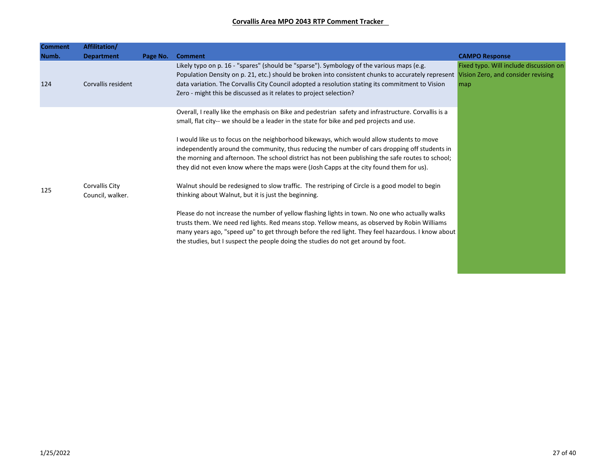| <b>Comment</b> | Affilitation/                      |          |                                                                                                                                                                                                                                                                                                                                                                                                                                                                                                                                                                                               |                                               |
|----------------|------------------------------------|----------|-----------------------------------------------------------------------------------------------------------------------------------------------------------------------------------------------------------------------------------------------------------------------------------------------------------------------------------------------------------------------------------------------------------------------------------------------------------------------------------------------------------------------------------------------------------------------------------------------|-----------------------------------------------|
| Numb.          | <b>Department</b>                  | Page No. | <b>Comment</b>                                                                                                                                                                                                                                                                                                                                                                                                                                                                                                                                                                                | <b>CAMPO Response</b>                         |
| 124            | Corvallis resident                 |          | Likely typo on p. 16 - "spares" (should be "sparse"). Symbology of the various maps (e.g.<br>Population Density on p. 21, etc.) should be broken into consistent chunks to accurately represent Vision Zero, and consider revising<br>data variation. The Corvallis City Council adopted a resolution stating its commitment to Vision<br>Zero - might this be discussed as it relates to project selection?                                                                                                                                                                                  | Fixed typo. Will include discussion on<br>map |
|                |                                    |          | Overall, I really like the emphasis on Bike and pedestrian safety and infrastructure. Corvallis is a<br>small, flat city-- we should be a leader in the state for bike and ped projects and use.<br>I would like us to focus on the neighborhood bikeways, which would allow students to move<br>independently around the community, thus reducing the number of cars dropping off students in<br>the morning and afternoon. The school district has not been publishing the safe routes to school;<br>they did not even know where the maps were (Josh Capps at the city found them for us). |                                               |
| 125            | Corvallis City<br>Council, walker. |          | Walnut should be redesigned to slow traffic. The restriping of Circle is a good model to begin<br>thinking about Walnut, but it is just the beginning.<br>Please do not increase the number of yellow flashing lights in town. No one who actually walks<br>trusts them. We need red lights. Red means stop. Yellow means, as observed by Robin Williams<br>many years ago, "speed up" to get through before the red light. They feel hazardous. I know about<br>the studies, but I suspect the people doing the studies do not get around by foot.                                           |                                               |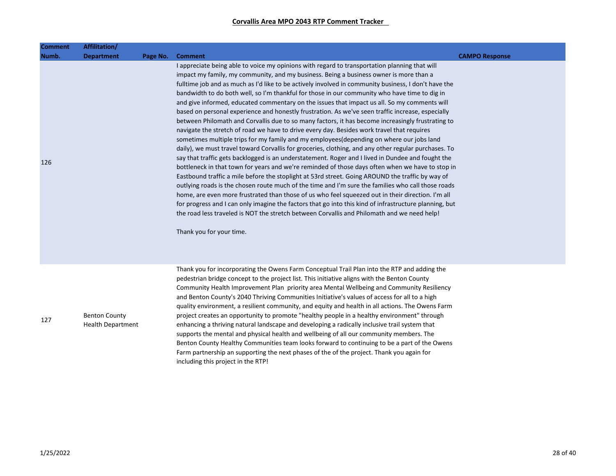| <b>Comment</b> | Affilitation/                                    |          |                                                                                                                                                                                                                                                                                                                                                                                                                                                                                                                                                                                                                                                                                                                                                                                                                                                                                                                                                                                                                                                                                                                                                                                                                                                                                                                                                                                                                                                                                                                                                                                                                                                                                                                                                                           |                       |
|----------------|--------------------------------------------------|----------|---------------------------------------------------------------------------------------------------------------------------------------------------------------------------------------------------------------------------------------------------------------------------------------------------------------------------------------------------------------------------------------------------------------------------------------------------------------------------------------------------------------------------------------------------------------------------------------------------------------------------------------------------------------------------------------------------------------------------------------------------------------------------------------------------------------------------------------------------------------------------------------------------------------------------------------------------------------------------------------------------------------------------------------------------------------------------------------------------------------------------------------------------------------------------------------------------------------------------------------------------------------------------------------------------------------------------------------------------------------------------------------------------------------------------------------------------------------------------------------------------------------------------------------------------------------------------------------------------------------------------------------------------------------------------------------------------------------------------------------------------------------------------|-----------------------|
| Numb.          | <b>Department</b>                                | Page No. | <b>Comment</b>                                                                                                                                                                                                                                                                                                                                                                                                                                                                                                                                                                                                                                                                                                                                                                                                                                                                                                                                                                                                                                                                                                                                                                                                                                                                                                                                                                                                                                                                                                                                                                                                                                                                                                                                                            | <b>CAMPO Response</b> |
| 126            |                                                  |          | I appreciate being able to voice my opinions with regard to transportation planning that will<br>impact my family, my community, and my business. Being a business owner is more than a<br>fulltime job and as much as I'd like to be actively involved in community business, I don't have the<br>bandwidth to do both well, so I'm thankful for those in our community who have time to dig in<br>and give informed, educated commentary on the issues that impact us all. So my comments will<br>based on personal experience and honestly frustration. As we've seen traffic increase, especially<br>between Philomath and Corvallis due to so many factors, it has become increasingly frustrating to<br>navigate the stretch of road we have to drive every day. Besides work travel that requires<br>sometimes multiple trips for my family and my employees(depending on where our jobs land<br>daily), we must travel toward Corvallis for groceries, clothing, and any other regular purchases. To<br>say that traffic gets backlogged is an understatement. Roger and I lived in Dundee and fought the<br>bottleneck in that town for years and we're reminded of those days often when we have to stop in<br>Eastbound traffic a mile before the stoplight at 53rd street. Going AROUND the traffic by way of<br>outlying roads is the chosen route much of the time and I'm sure the families who call those roads<br>home, are even more frustrated than those of us who feel squeezed out in their direction. I'm all<br>for progress and I can only imagine the factors that go into this kind of infrastructure planning, but<br>the road less traveled is NOT the stretch between Corvallis and Philomath and we need help!<br>Thank you for your time. |                       |
| 127            | <b>Benton County</b><br><b>Health Department</b> |          | Thank you for incorporating the Owens Farm Conceptual Trail Plan into the RTP and adding the<br>pedestrian bridge concept to the project list. This initiative aligns with the Benton County<br>Community Health Improvement Plan priority area Mental Wellbeing and Community Resiliency<br>and Benton County's 2040 Thriving Communities Initiative's values of access for all to a high<br>quality environment, a resilient community, and equity and health in all actions. The Owens Farm<br>project creates an opportunity to promote "healthy people in a healthy environment" through<br>enhancing a thriving natural landscape and developing a radically inclusive trail system that<br>supports the mental and physical health and wellbeing of all our community members. The<br>Benton County Healthy Communities team looks forward to continuing to be a part of the Owens<br>Farm partnership an supporting the next phases of the of the project. Thank you again for<br>including this project in the RTP!                                                                                                                                                                                                                                                                                                                                                                                                                                                                                                                                                                                                                                                                                                                                              |                       |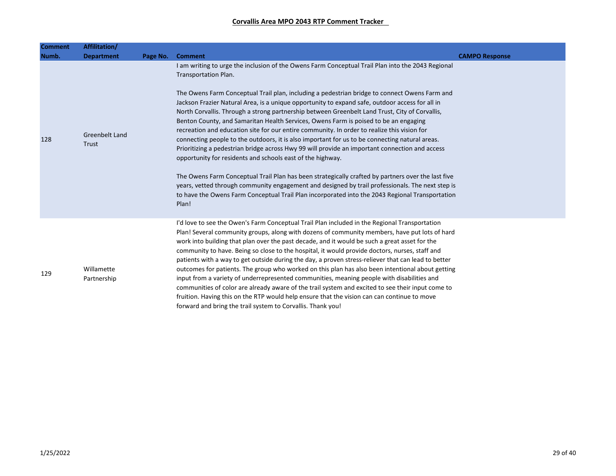| <b>Comment</b> | Affilitation/             |          |                                                                                                                                                                                                                                                                                                                                                                                                                                                                                                                                                                                                                                                                                                                                                                                                                                                                                                                                                                                                                                                                                                                                                                                                                |                       |
|----------------|---------------------------|----------|----------------------------------------------------------------------------------------------------------------------------------------------------------------------------------------------------------------------------------------------------------------------------------------------------------------------------------------------------------------------------------------------------------------------------------------------------------------------------------------------------------------------------------------------------------------------------------------------------------------------------------------------------------------------------------------------------------------------------------------------------------------------------------------------------------------------------------------------------------------------------------------------------------------------------------------------------------------------------------------------------------------------------------------------------------------------------------------------------------------------------------------------------------------------------------------------------------------|-----------------------|
| Numb.          | <b>Department</b>         | Page No. | <b>Comment</b>                                                                                                                                                                                                                                                                                                                                                                                                                                                                                                                                                                                                                                                                                                                                                                                                                                                                                                                                                                                                                                                                                                                                                                                                 | <b>CAMPO Response</b> |
| 128            | Greenbelt Land<br>Trust   |          | I am writing to urge the inclusion of the Owens Farm Conceptual Trail Plan into the 2043 Regional<br>Transportation Plan.<br>The Owens Farm Conceptual Trail plan, including a pedestrian bridge to connect Owens Farm and<br>Jackson Frazier Natural Area, is a unique opportunity to expand safe, outdoor access for all in<br>North Corvallis. Through a strong partnership between Greenbelt Land Trust, City of Corvallis,<br>Benton County, and Samaritan Health Services, Owens Farm is poised to be an engaging<br>recreation and education site for our entire community. In order to realize this vision for<br>connecting people to the outdoors, it is also important for us to be connecting natural areas.<br>Prioritizing a pedestrian bridge across Hwy 99 will provide an important connection and access<br>opportunity for residents and schools east of the highway.<br>The Owens Farm Conceptual Trail Plan has been strategically crafted by partners over the last five<br>years, vetted through community engagement and designed by trail professionals. The next step is<br>to have the Owens Farm Conceptual Trail Plan incorporated into the 2043 Regional Transportation<br>Plan! |                       |
| 129            | Willamette<br>Partnership |          | I'd love to see the Owen's Farm Conceptual Trail Plan included in the Regional Transportation<br>Plan! Several community groups, along with dozens of community members, have put lots of hard<br>work into building that plan over the past decade, and it would be such a great asset for the<br>community to have. Being so close to the hospital, it would provide doctors, nurses, staff and<br>patients with a way to get outside during the day, a proven stress-reliever that can lead to better<br>outcomes for patients. The group who worked on this plan has also been intentional about getting<br>input from a variety of underrepresented communities, meaning people with disabilities and<br>communities of color are already aware of the trail system and excited to see their input come to<br>fruition. Having this on the RTP would help ensure that the vision can can continue to move<br>forward and bring the trail system to Corvallis. Thank you!                                                                                                                                                                                                                                  |                       |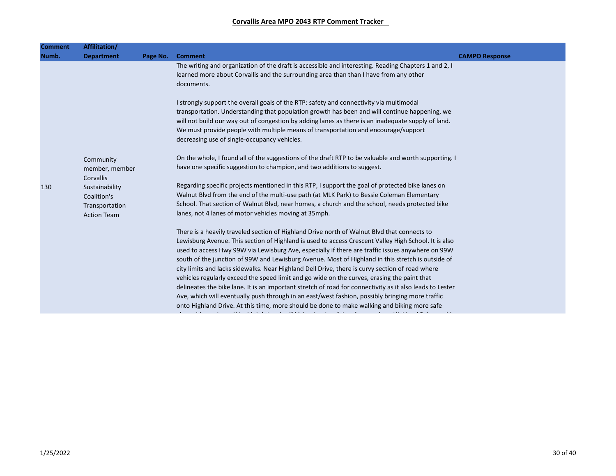| <b>Comment</b> | Affilitation/                                                         |          |                                                                                                                                                                                                                                                                                                                                                                                                                                                                                                                                                                                                                                                                                                                                                                                                                                                                                                                              |                       |
|----------------|-----------------------------------------------------------------------|----------|------------------------------------------------------------------------------------------------------------------------------------------------------------------------------------------------------------------------------------------------------------------------------------------------------------------------------------------------------------------------------------------------------------------------------------------------------------------------------------------------------------------------------------------------------------------------------------------------------------------------------------------------------------------------------------------------------------------------------------------------------------------------------------------------------------------------------------------------------------------------------------------------------------------------------|-----------------------|
| Numb.          | <b>Department</b>                                                     | Page No. | <b>Comment</b>                                                                                                                                                                                                                                                                                                                                                                                                                                                                                                                                                                                                                                                                                                                                                                                                                                                                                                               | <b>CAMPO Response</b> |
|                |                                                                       |          | The writing and organization of the draft is accessible and interesting. Reading Chapters 1 and 2, I<br>learned more about Corvallis and the surrounding area than than I have from any other<br>documents.                                                                                                                                                                                                                                                                                                                                                                                                                                                                                                                                                                                                                                                                                                                  |                       |
|                |                                                                       |          | I strongly support the overall goals of the RTP: safety and connectivity via multimodal<br>transportation. Understanding that population growth has been and will continue happening, we<br>will not build our way out of congestion by adding lanes as there is an inadequate supply of land.<br>We must provide people with multiple means of transportation and encourage/support<br>decreasing use of single-occupancy vehicles.                                                                                                                                                                                                                                                                                                                                                                                                                                                                                         |                       |
|                | Community<br>member, member<br>Corvallis                              |          | On the whole, I found all of the suggestions of the draft RTP to be valuable and worth supporting. I<br>have one specific suggestion to champion, and two additions to suggest.                                                                                                                                                                                                                                                                                                                                                                                                                                                                                                                                                                                                                                                                                                                                              |                       |
| 130            | Sustainability<br>Coalition's<br>Transportation<br><b>Action Team</b> |          | Regarding specific projects mentioned in this RTP, I support the goal of protected bike lanes on<br>Walnut Blvd from the end of the multi-use path (at MLK Park) to Bessie Coleman Elementary<br>School. That section of Walnut Blvd, near homes, a church and the school, needs protected bike<br>lanes, not 4 lanes of motor vehicles moving at 35mph.                                                                                                                                                                                                                                                                                                                                                                                                                                                                                                                                                                     |                       |
|                |                                                                       |          | There is a heavily traveled section of Highland Drive north of Walnut Blvd that connects to<br>Lewisburg Avenue. This section of Highland is used to access Crescent Valley High School. It is also<br>used to access Hwy 99W via Lewisburg Ave, especially if there are traffic issues anywhere on 99W<br>south of the junction of 99W and Lewisburg Avenue. Most of Highland in this stretch is outside of<br>city limits and lacks sidewalks. Near Highland Dell Drive, there is curvy section of road where<br>vehicles regularly exceed the speed limit and go wide on the curves, erasing the paint that<br>delineates the bike lane. It is an important stretch of road for connectivity as it also leads to Lester<br>Ave, which will eventually push through in an east/west fashion, possibly bringing more traffic<br>onto Highland Drive. At this time, more should be done to make walking and biking more safe |                       |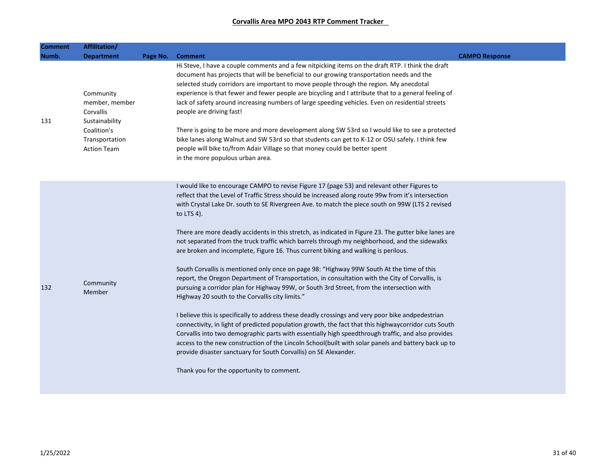| Comment | Affilitation/                                                                                                     |          |                                                                                                                                                                                                                                                                                                                                                                                                                                                                                                                                                                                                                                                                                                                                                                                                                                                                                                                                                                                                                                                                                                                                                                                                                                                                                                                                                                                                                                                                                                                 |                       |
|---------|-------------------------------------------------------------------------------------------------------------------|----------|-----------------------------------------------------------------------------------------------------------------------------------------------------------------------------------------------------------------------------------------------------------------------------------------------------------------------------------------------------------------------------------------------------------------------------------------------------------------------------------------------------------------------------------------------------------------------------------------------------------------------------------------------------------------------------------------------------------------------------------------------------------------------------------------------------------------------------------------------------------------------------------------------------------------------------------------------------------------------------------------------------------------------------------------------------------------------------------------------------------------------------------------------------------------------------------------------------------------------------------------------------------------------------------------------------------------------------------------------------------------------------------------------------------------------------------------------------------------------------------------------------------------|-----------------------|
| Numb.   | <b>Department</b>                                                                                                 | Page No. | <b>Comment</b>                                                                                                                                                                                                                                                                                                                                                                                                                                                                                                                                                                                                                                                                                                                                                                                                                                                                                                                                                                                                                                                                                                                                                                                                                                                                                                                                                                                                                                                                                                  | <b>CAMPO Response</b> |
| 131     | Community<br>member, member<br>Corvallis<br>Sustainability<br>Coalition's<br>Transportation<br><b>Action Team</b> |          | Hi Steve, I have a couple comments and a few nitpicking items on the draft RTP. I think the draft<br>document has projects that will be beneficial to our growing transportation needs and the<br>selected study corridors are important to move people through the region. My anecdotal<br>experience is that fewer and fewer people are bicycling and I attribute that to a general feeling of<br>lack of safety around increasing numbers of large speeding vehicles. Even on residential streets<br>people are driving fast!<br>There is going to be more and more development along SW 53rd so I would like to see a protected<br>bike lanes along Walnut and SW 53rd so that students can get to K-12 or OSU safely. I think few<br>people will bike to/from Adair Village so that money could be better spent<br>in the more populous urban area.                                                                                                                                                                                                                                                                                                                                                                                                                                                                                                                                                                                                                                                        |                       |
| 132     | Community<br>Member                                                                                               |          | I would like to encourage CAMPO to revise Figure 17 (page 53) and relevant other Figures to<br>reflect that the Level of Traffic Stress should be increased along route 99w from it's intersection<br>with Crystal Lake Dr. south to SE Rivergreen Ave. to match the piece south on 99W (LTS 2 revised<br>to LTS 4).<br>There are more deadly accidents in this stretch, as indicated in Figure 23. The gutter bike lanes are<br>not separated from the truck traffic which barrels through my neighborhood, and the sidewalks<br>are broken and incomplete, Figure 16. Thus current biking and walking is perilous.<br>South Corvallis is mentioned only once on page 98: "Highway 99W South At the time of this<br>report, the Oregon Department of Transportation, in consultation with the City of Corvallis, is<br>pursuing a corridor plan for Highway 99W, or South 3rd Street, from the intersection with<br>Highway 20 south to the Corvallis city limits."<br>I believe this is specifically to address these deadly crossings and very poor bike andpedestrian<br>connectivity, in light of predicted population growth, the fact that this highwaycorridor cuts South<br>Corvallis into two demographic parts with essentially high speedthrough traffic, and also provides<br>access to the new construction of the Lincoln School(built with solar panels and battery back up to<br>provide disaster sanctuary for South Corvallis) on SE Alexander.<br>Thank you for the opportunity to comment. |                       |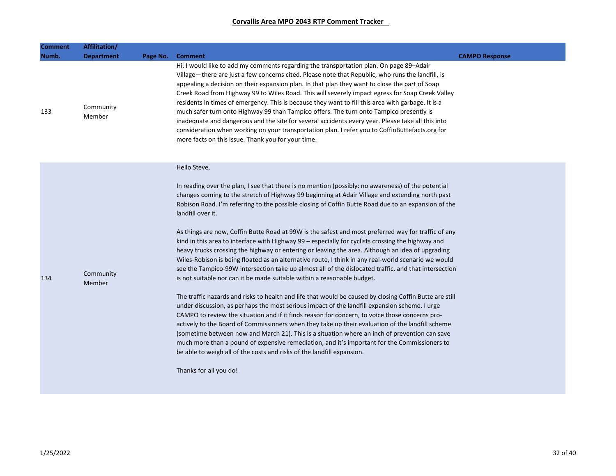| Comment<br>Numb. | Affilitation/<br><b>Department</b> | Page No. Comment                                                                                                                                                                                                                                                                                                                                                                                                                                                                                                                                                                                                                                                                                                                                                                                                                                                                                                                                                                                                                                                                                                                                                                                                                                                                                                                                                                                                                                                                                                                                                                                                                                                                   | <b>CAMPO Response</b> |
|------------------|------------------------------------|------------------------------------------------------------------------------------------------------------------------------------------------------------------------------------------------------------------------------------------------------------------------------------------------------------------------------------------------------------------------------------------------------------------------------------------------------------------------------------------------------------------------------------------------------------------------------------------------------------------------------------------------------------------------------------------------------------------------------------------------------------------------------------------------------------------------------------------------------------------------------------------------------------------------------------------------------------------------------------------------------------------------------------------------------------------------------------------------------------------------------------------------------------------------------------------------------------------------------------------------------------------------------------------------------------------------------------------------------------------------------------------------------------------------------------------------------------------------------------------------------------------------------------------------------------------------------------------------------------------------------------------------------------------------------------|-----------------------|
| 133              | Community<br>Member                | Hi, I would like to add my comments regarding the transportation plan. On page 89–Adair<br>Village—there are just a few concerns cited. Please note that Republic, who runs the landfill, is<br>appealing a decision on their expansion plan. In that plan they want to close the part of Soap<br>Creek Road from Highway 99 to Wiles Road. This will severely impact egress for Soap Creek Valley<br>residents in times of emergency. This is because they want to fill this area with garbage. It is a<br>much safer turn onto Highway 99 than Tampico offers. The turn onto Tampico presently is<br>inadequate and dangerous and the site for several accidents every year. Please take all this into<br>consideration when working on your transportation plan. I refer you to CoffinButtefacts.org for<br>more facts on this issue. Thank you for your time.                                                                                                                                                                                                                                                                                                                                                                                                                                                                                                                                                                                                                                                                                                                                                                                                                  |                       |
| 134              | Community<br>Member                | Hello Steve,<br>In reading over the plan, I see that there is no mention (possibly: no awareness) of the potential<br>changes coming to the stretch of Highway 99 beginning at Adair Village and extending north past<br>Robison Road. I'm referring to the possible closing of Coffin Butte Road due to an expansion of the<br>landfill over it.<br>As things are now, Coffin Butte Road at 99W is the safest and most preferred way for traffic of any<br>kind in this area to interface with Highway 99 - especially for cyclists crossing the highway and<br>heavy trucks crossing the highway or entering or leaving the area. Although an idea of upgrading<br>Wiles-Robison is being floated as an alternative route, I think in any real-world scenario we would<br>see the Tampico-99W intersection take up almost all of the dislocated traffic, and that intersection<br>is not suitable nor can it be made suitable within a reasonable budget.<br>The traffic hazards and risks to health and life that would be caused by closing Coffin Butte are still<br>under discussion, as perhaps the most serious impact of the landfill expansion scheme. I urge<br>CAMPO to review the situation and if it finds reason for concern, to voice those concerns pro-<br>actively to the Board of Commissioners when they take up their evaluation of the landfill scheme<br>(sometime between now and March 21). This is a situation where an inch of prevention can save<br>much more than a pound of expensive remediation, and it's important for the Commissioners to<br>be able to weigh all of the costs and risks of the landfill expansion.<br>Thanks for all you do! |                       |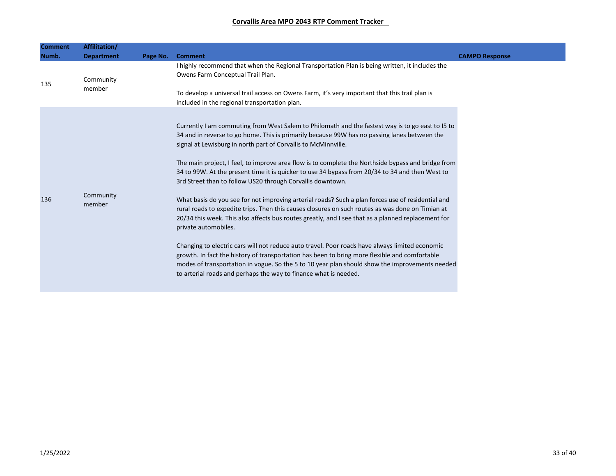| <b>Comment</b> | Affilitation/       |          |                                                                                                                                                                                                                                                                                                                                                                                                                                                                                                                                                                                                                                                                                                                                                                                                                                                                                                                                                                                                                                                                                                                                                                                                                                                           |                       |
|----------------|---------------------|----------|-----------------------------------------------------------------------------------------------------------------------------------------------------------------------------------------------------------------------------------------------------------------------------------------------------------------------------------------------------------------------------------------------------------------------------------------------------------------------------------------------------------------------------------------------------------------------------------------------------------------------------------------------------------------------------------------------------------------------------------------------------------------------------------------------------------------------------------------------------------------------------------------------------------------------------------------------------------------------------------------------------------------------------------------------------------------------------------------------------------------------------------------------------------------------------------------------------------------------------------------------------------|-----------------------|
| Numb.          | <b>Department</b>   | Page No. | <b>Comment</b>                                                                                                                                                                                                                                                                                                                                                                                                                                                                                                                                                                                                                                                                                                                                                                                                                                                                                                                                                                                                                                                                                                                                                                                                                                            | <b>CAMPO Response</b> |
| 135            | Community<br>member |          | I highly recommend that when the Regional Transportation Plan is being written, it includes the<br>Owens Farm Conceptual Trail Plan.<br>To develop a universal trail access on Owens Farm, it's very important that this trail plan is<br>included in the regional transportation plan.                                                                                                                                                                                                                                                                                                                                                                                                                                                                                                                                                                                                                                                                                                                                                                                                                                                                                                                                                                   |                       |
| 136            | Community<br>member |          | Currently I am commuting from West Salem to Philomath and the fastest way is to go east to 15 to<br>34 and in reverse to go home. This is primarily because 99W has no passing lanes between the<br>signal at Lewisburg in north part of Corvallis to McMinnville.<br>The main project, I feel, to improve area flow is to complete the Northside bypass and bridge from<br>34 to 99W. At the present time it is quicker to use 34 bypass from 20/34 to 34 and then West to<br>3rd Street than to follow US20 through Corvallis downtown.<br>What basis do you see for not improving arterial roads? Such a plan forces use of residential and<br>rural roads to expedite trips. Then this causes closures on such routes as was done on Timian at<br>20/34 this week. This also affects bus routes greatly, and I see that as a planned replacement for<br>private automobiles.<br>Changing to electric cars will not reduce auto travel. Poor roads have always limited economic<br>growth. In fact the history of transportation has been to bring more flexible and comfortable<br>modes of transportation in vogue. So the 5 to 10 year plan should show the improvements needed<br>to arterial roads and perhaps the way to finance what is needed. |                       |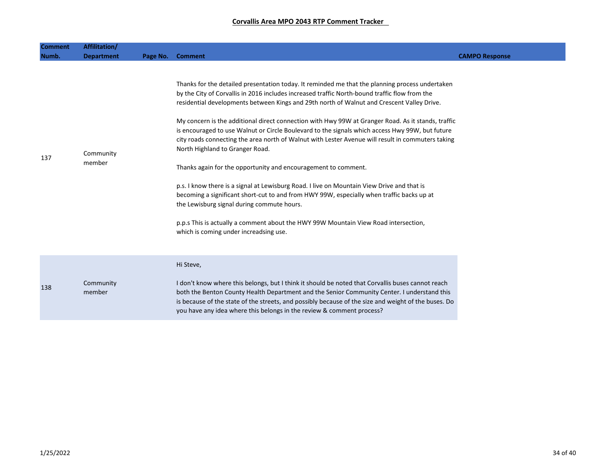| <b>Comment</b> | Affilitation/       |          |                                                                                                                                                                                                                                                                                                                                                                                                                                                                                                                                                                                                                                                                                                                                                                                                                                                                                                                                                                                                                                                                                             |                       |
|----------------|---------------------|----------|---------------------------------------------------------------------------------------------------------------------------------------------------------------------------------------------------------------------------------------------------------------------------------------------------------------------------------------------------------------------------------------------------------------------------------------------------------------------------------------------------------------------------------------------------------------------------------------------------------------------------------------------------------------------------------------------------------------------------------------------------------------------------------------------------------------------------------------------------------------------------------------------------------------------------------------------------------------------------------------------------------------------------------------------------------------------------------------------|-----------------------|
| Numb.          | <b>Department</b>   | Page No. | <b>Comment</b>                                                                                                                                                                                                                                                                                                                                                                                                                                                                                                                                                                                                                                                                                                                                                                                                                                                                                                                                                                                                                                                                              | <b>CAMPO Response</b> |
| 137            | Community<br>member |          | Thanks for the detailed presentation today. It reminded me that the planning process undertaken<br>by the City of Corvallis in 2016 includes increased traffic North-bound traffic flow from the<br>residential developments between Kings and 29th north of Walnut and Crescent Valley Drive.<br>My concern is the additional direct connection with Hwy 99W at Granger Road. As it stands, traffic<br>is encouraged to use Walnut or Circle Boulevard to the signals which access Hwy 99W, but future<br>city roads connecting the area north of Walnut with Lester Avenue will result in commuters taking<br>North Highland to Granger Road.<br>Thanks again for the opportunity and encouragement to comment.<br>p.s. I know there is a signal at Lewisburg Road. I live on Mountain View Drive and that is<br>becoming a significant short-cut to and from HWY 99W, especially when traffic backs up at<br>the Lewisburg signal during commute hours.<br>p.p.s This is actually a comment about the HWY 99W Mountain View Road intersection,<br>which is coming under increadsing use. |                       |
| 138            | Community<br>member |          | Hi Steve,<br>I don't know where this belongs, but I think it should be noted that Corvallis buses cannot reach<br>both the Benton County Health Department and the Senior Community Center. I understand this<br>is because of the state of the streets, and possibly because of the size and weight of the buses. Do<br>you have any idea where this belongs in the review & comment process?                                                                                                                                                                                                                                                                                                                                                                                                                                                                                                                                                                                                                                                                                              |                       |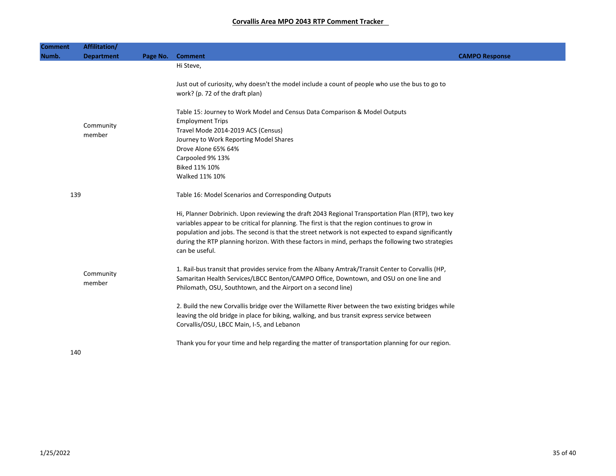| <b>Comment</b> | Affilitation/       |          |                                                                                                                                                                                                                                                                                                                                                                                                                                  |                       |
|----------------|---------------------|----------|----------------------------------------------------------------------------------------------------------------------------------------------------------------------------------------------------------------------------------------------------------------------------------------------------------------------------------------------------------------------------------------------------------------------------------|-----------------------|
| Numb.          | <b>Department</b>   | Page No. | <b>Comment</b>                                                                                                                                                                                                                                                                                                                                                                                                                   | <b>CAMPO Response</b> |
|                |                     |          | Hi Steve,<br>Just out of curiosity, why doesn't the model include a count of people who use the bus to go to                                                                                                                                                                                                                                                                                                                     |                       |
|                | Community<br>member |          | work? (p. 72 of the draft plan)<br>Table 15: Journey to Work Model and Census Data Comparison & Model Outputs<br><b>Employment Trips</b><br>Travel Mode 2014-2019 ACS (Census)<br>Journey to Work Reporting Model Shares<br>Drove Alone 65% 64%<br>Carpooled 9% 13%<br>Biked 11% 10%<br>Walked 11% 10%                                                                                                                           |                       |
| 139            |                     |          | Table 16: Model Scenarios and Corresponding Outputs                                                                                                                                                                                                                                                                                                                                                                              |                       |
|                |                     |          | Hi, Planner Dobrinich. Upon reviewing the draft 2043 Regional Transportation Plan (RTP), two key<br>variables appear to be critical for planning. The first is that the region continues to grow in<br>population and jobs. The second is that the street network is not expected to expand significantly<br>during the RTP planning horizon. With these factors in mind, perhaps the following two strategies<br>can be useful. |                       |
|                | Community<br>member |          | 1. Rail-bus transit that provides service from the Albany Amtrak/Transit Center to Corvallis (HP,<br>Samaritan Health Services/LBCC Benton/CAMPO Office, Downtown, and OSU on one line and<br>Philomath, OSU, Southtown, and the Airport on a second line)                                                                                                                                                                       |                       |
|                |                     |          | 2. Build the new Corvallis bridge over the Willamette River between the two existing bridges while<br>leaving the old bridge in place for biking, walking, and bus transit express service between<br>Corvallis/OSU, LBCC Main, I-5, and Lebanon                                                                                                                                                                                 |                       |
| 140            |                     |          | Thank you for your time and help regarding the matter of transportation planning for our region.                                                                                                                                                                                                                                                                                                                                 |                       |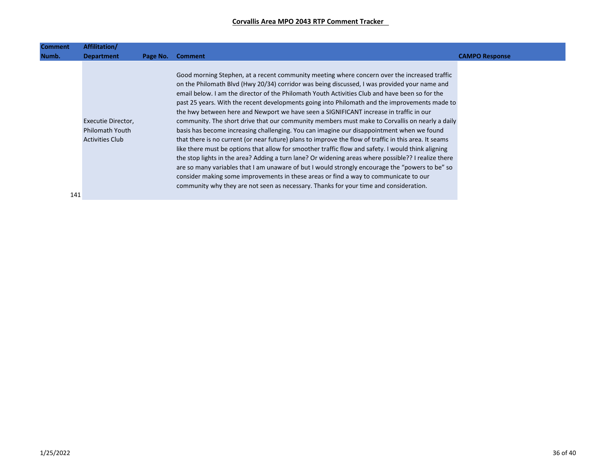| <b>Comment</b> | Affilitation/                                                          |          |                                                                                                                                                                                                                                                                                                                                                                                                                                                                                                                                                                                                                                                                                                                                                                                                                                                                                                                                                                                                                                                                                                                                                                                                                                                                                                    |                       |
|----------------|------------------------------------------------------------------------|----------|----------------------------------------------------------------------------------------------------------------------------------------------------------------------------------------------------------------------------------------------------------------------------------------------------------------------------------------------------------------------------------------------------------------------------------------------------------------------------------------------------------------------------------------------------------------------------------------------------------------------------------------------------------------------------------------------------------------------------------------------------------------------------------------------------------------------------------------------------------------------------------------------------------------------------------------------------------------------------------------------------------------------------------------------------------------------------------------------------------------------------------------------------------------------------------------------------------------------------------------------------------------------------------------------------|-----------------------|
| Numb.          | <b>Department</b>                                                      | Page No. | <b>Comment</b>                                                                                                                                                                                                                                                                                                                                                                                                                                                                                                                                                                                                                                                                                                                                                                                                                                                                                                                                                                                                                                                                                                                                                                                                                                                                                     | <b>CAMPO Response</b> |
|                | Executie Director,<br><b>Philomath Youth</b><br><b>Activities Club</b> |          | Good morning Stephen, at a recent community meeting where concern over the increased traffic<br>on the Philomath Blvd (Hwy 20/34) corridor was being discussed, I was provided your name and<br>email below. I am the director of the Philomath Youth Activities Club and have been so for the<br>past 25 years. With the recent developments going into Philomath and the improvements made to<br>the hwy between here and Newport we have seen a SIGNIFICANT increase in traffic in our<br>community. The short drive that our community members must make to Corvallis on nearly a daily<br>basis has become increasing challenging. You can imagine our disappointment when we found<br>that there is no current (or near future) plans to improve the flow of traffic in this area. It seams<br>like there must be options that allow for smoother traffic flow and safety. I would think aligning<br>the stop lights in the area? Adding a turn lane? Or widening areas where possible?? I realize there<br>are so many variables that I am unaware of but I would strongly encourage the "powers to be" so<br>consider making some improvements in these areas or find a way to communicate to our<br>community why they are not seen as necessary. Thanks for your time and consideration. |                       |
| 141            |                                                                        |          |                                                                                                                                                                                                                                                                                                                                                                                                                                                                                                                                                                                                                                                                                                                                                                                                                                                                                                                                                                                                                                                                                                                                                                                                                                                                                                    |                       |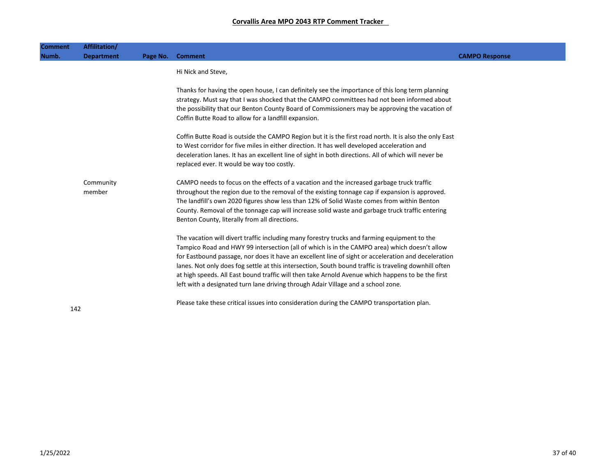| <b>Comment</b> | Affilitation/     |          |                                                                                                                                                                                                            |                       |
|----------------|-------------------|----------|------------------------------------------------------------------------------------------------------------------------------------------------------------------------------------------------------------|-----------------------|
| Numb.          | <b>Department</b> | Page No. | <b>Comment</b>                                                                                                                                                                                             | <b>CAMPO Response</b> |
|                |                   |          | Hi Nick and Steve,                                                                                                                                                                                         |                       |
|                |                   |          |                                                                                                                                                                                                            |                       |
|                |                   |          | Thanks for having the open house, I can definitely see the importance of this long term planning                                                                                                           |                       |
|                |                   |          | strategy. Must say that I was shocked that the CAMPO committees had not been informed about<br>the possibility that our Benton County Board of Commissioners may be approving the vacation of              |                       |
|                |                   |          | Coffin Butte Road to allow for a landfill expansion.                                                                                                                                                       |                       |
|                |                   |          |                                                                                                                                                                                                            |                       |
|                |                   |          | Coffin Butte Road is outside the CAMPO Region but it is the first road north. It is also the only East                                                                                                     |                       |
|                |                   |          | to West corridor for five miles in either direction. It has well developed acceleration and                                                                                                                |                       |
|                |                   |          | deceleration lanes. It has an excellent line of sight in both directions. All of which will never be<br>replaced ever. It would be way too costly.                                                         |                       |
|                |                   |          |                                                                                                                                                                                                            |                       |
|                | Community         |          | CAMPO needs to focus on the effects of a vacation and the increased garbage truck traffic                                                                                                                  |                       |
|                | member            |          | throughout the region due to the removal of the existing tonnage cap if expansion is approved.                                                                                                             |                       |
|                |                   |          | The landfill's own 2020 figures show less than 12% of Solid Waste comes from within Benton                                                                                                                 |                       |
|                |                   |          | County. Removal of the tonnage cap will increase solid waste and garbage truck traffic entering<br>Benton County, literally from all directions.                                                           |                       |
|                |                   |          |                                                                                                                                                                                                            |                       |
|                |                   |          | The vacation will divert traffic including many forestry trucks and farming equipment to the                                                                                                               |                       |
|                |                   |          | Tampico Road and HWY 99 intersection (all of which is in the CAMPO area) which doesn't allow                                                                                                               |                       |
|                |                   |          | for Eastbound passage, nor does it have an excellent line of sight or acceleration and deceleration                                                                                                        |                       |
|                |                   |          | lanes. Not only does fog settle at this intersection, South bound traffic is traveling downhill often<br>at high speeds. All East bound traffic will then take Arnold Avenue which happens to be the first |                       |
|                |                   |          | left with a designated turn lane driving through Adair Village and a school zone.                                                                                                                          |                       |
|                |                   |          |                                                                                                                                                                                                            |                       |
| 142            |                   |          | Please take these critical issues into consideration during the CAMPO transportation plan.                                                                                                                 |                       |
|                |                   |          |                                                                                                                                                                                                            |                       |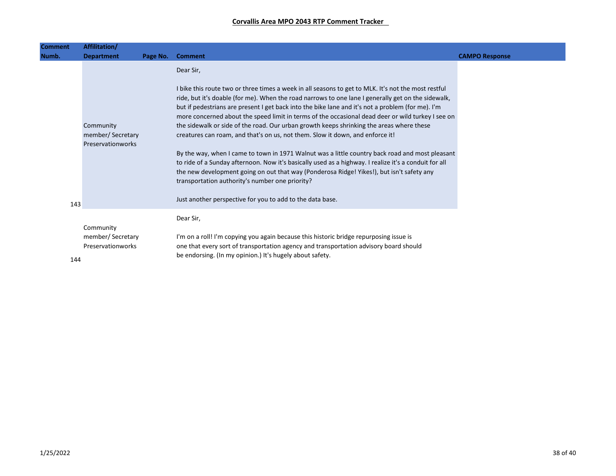| Affilitation/<br><b>Comment</b><br>Numb.<br><b>Department</b> |                                       | Page No. | <b>Comment</b>                                                                                                                                                                                                                                                                                                                                                                                                                                                                                                                                                                                   |
|---------------------------------------------------------------|---------------------------------------|----------|--------------------------------------------------------------------------------------------------------------------------------------------------------------------------------------------------------------------------------------------------------------------------------------------------------------------------------------------------------------------------------------------------------------------------------------------------------------------------------------------------------------------------------------------------------------------------------------------------|
|                                                               |                                       |          | Dear Sir,                                                                                                                                                                                                                                                                                                                                                                                                                                                                                                                                                                                        |
| Community                                                     | member/Secretary<br>Preservationworks |          | I bike this route two or three times a week in all seasons to get to MLK. It's not the most restful<br>ride, but it's doable (for me). When the road narrows to one lane I generally get on the sidewalk,<br>but if pedestrians are present I get back into the bike lane and it's not a problem (for me). I'm<br>more concerned about the speed limit in terms of the occasional dead deer or wild turkey I see on<br>the sidewalk or side of the road. Our urban growth keeps shrinking the areas where these<br>creatures can roam, and that's on us, not them. Slow it down, and enforce it! |
|                                                               |                                       |          | By the way, when I came to town in 1971 Walnut was a little country back road and most pleasant<br>to ride of a Sunday afternoon. Now it's basically used as a highway. I realize it's a conduit for all<br>the new development going on out that way (Ponderosa Ridge! Yikes!), but isn't safety any<br>transportation authority's number one priority?                                                                                                                                                                                                                                         |
| 143                                                           |                                       |          | Just another perspective for you to add to the data base.                                                                                                                                                                                                                                                                                                                                                                                                                                                                                                                                        |
| Community                                                     | member/Secretary<br>Preservationworks |          | Dear Sir,<br>I'm on a roll! I'm copying you again because this historic bridge repurposing issue is<br>one that every sort of transportation agency and transportation advisory board should<br>be endorsing. (In my opinion.) It's hugely about safety.                                                                                                                                                                                                                                                                                                                                         |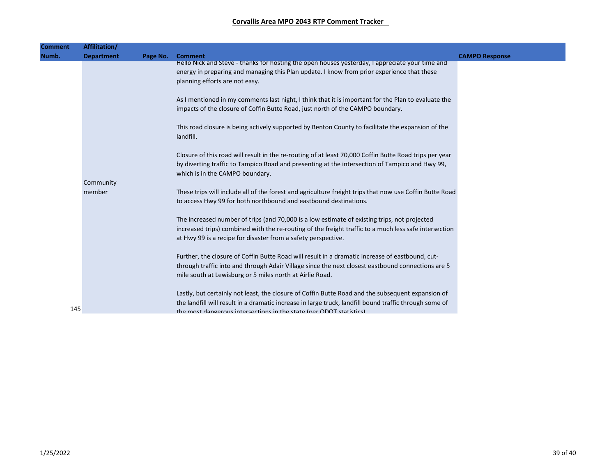| <b>Comment</b> | Affilitation/       |          |                                                                                                                                                                                                                                                                                    |                       |
|----------------|---------------------|----------|------------------------------------------------------------------------------------------------------------------------------------------------------------------------------------------------------------------------------------------------------------------------------------|-----------------------|
| Numb.          | <b>Department</b>   | Page No. | <b>Comment</b>                                                                                                                                                                                                                                                                     | <b>CAMPO Response</b> |
|                |                     |          | Hello Nick and Steve - thanks for hosting the open houses yesterday, I appreciate your time and<br>energy in preparing and managing this Plan update. I know from prior experience that these<br>planning efforts are not easy.                                                    |                       |
|                |                     |          | As I mentioned in my comments last night, I think that it is important for the Plan to evaluate the<br>impacts of the closure of Coffin Butte Road, just north of the CAMPO boundary.                                                                                              |                       |
|                |                     |          | This road closure is being actively supported by Benton County to facilitate the expansion of the<br>landfill.                                                                                                                                                                     |                       |
|                |                     |          | Closure of this road will result in the re-routing of at least 70,000 Coffin Butte Road trips per year<br>by diverting traffic to Tampico Road and presenting at the intersection of Tampico and Hwy 99,<br>which is in the CAMPO boundary.                                        |                       |
|                | Community<br>member |          | These trips will include all of the forest and agriculture freight trips that now use Coffin Butte Road<br>to access Hwy 99 for both northbound and eastbound destinations.                                                                                                        |                       |
|                |                     |          | The increased number of trips (and 70,000 is a low estimate of existing trips, not projected<br>increased trips) combined with the re-routing of the freight traffic to a much less safe intersection<br>at Hwy 99 is a recipe for disaster from a safety perspective.             |                       |
|                |                     |          | Further, the closure of Coffin Butte Road will result in a dramatic increase of eastbound, cut-<br>through traffic into and through Adair Village since the next closest eastbound connections are 5<br>mile south at Lewisburg or 5 miles north at Airlie Road.                   |                       |
| 145            |                     |          | Lastly, but certainly not least, the closure of Coffin Butte Road and the subsequent expansion of<br>the landfill will result in a dramatic increase in large truck, landfill bound traffic through some of<br>the most dangerous intersections in the state (ner ODOT statistics) |                       |